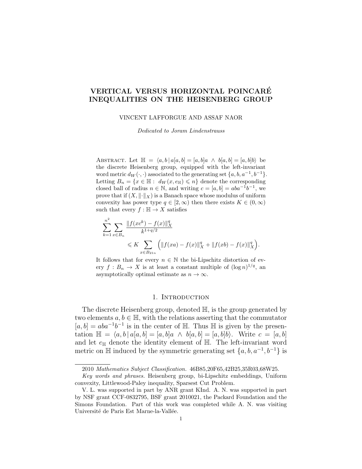# VERTICAL VERSUS HORIZONTAL POINCARE´ INEQUALITIES ON THE HEISENBERG GROUP

#### VINCENT LAFFORGUE AND ASSAF NAOR

Dedicated to Joram Lindenstrauss

ABSTRACT. Let  $\mathbb{H} = \langle a, b | a[a, b] = [a, b]a \wedge b[a, b] = [a, b]b \rangle$  be the discrete Heisenberg group, equipped with the left-invariant word metric  $d_W(\cdot, \cdot)$  associated to the generating set  $\{a, b, a^{-1}, b^{-1}\}.$ Letting  $B_n = \{x \in \mathbb{H} : d_W(x, e_{\mathbb{H}}) \leqslant n\}$  denote the corresponding closed ball of radius  $n \in \mathbb{N}$ , and writing  $c = [a, b] = aba^{-1}b^{-1}$ , we prove that if  $(X, \|\cdot\|_X)$  is a Banach space whose modulus of uniform convexity has power type  $q \in [2,\infty)$  then there exists  $K \in (0,\infty)$ such that every  $f : \mathbb{H} \to X$  satisfies

$$
\sum_{k=1}^{n^2} \sum_{x \in B_n} \frac{\|f(xc^k) - f(x)\|_X^q}{k^{1+q/2}} \leq K \sum_{x \in B_{21n}} \left( \|f(xa) - f(x)\|_X^q + \|f(xb) - f(x)\|_X^q \right).
$$

It follows that for every  $n \in \mathbb{N}$  the bi-Lipschitz distortion of every  $f: B_n \to X$  is at least a constant multiple of  $(\log n)^{1/q}$ , and asymptotically optimal estimate as  $n \to \infty$ .

### 1. INTRODUCTION

The discrete Heisenberg group, denoted H, is the group generated by two elements  $a, b \in \mathbb{H}$ , with the relations asserting that the commutator [a, b] =  $aba^{-1}b^{-1}$  is in the center of H. Thus H is given by the presentation  $\mathbb{H} = \langle a, b | a[a, b] = [a, b]a \land b[a, b] = [a, b]b$ . Write  $c = [a, b]$ and let  $e_{\mathbb{H}}$  denote the identity element of  $\mathbb{H}$ . The left-invariant word metric on  $\mathbb H$  induced by the symmetric generating set  $\{a, b, a^{-1}, b^{-1}\}$  is

<sup>2010</sup> Mathematics Subject Classification. 46B85,20F65,42B25,35R03,68W25.

Key words and phrases. Heisenberg group, bi-Lipschitz embeddings, Uniform convexity, Littlewood-Paley inequality, Sparsest Cut Problem.

V. L. was supported in part by ANR grant KInd. A. N. was supported in part by NSF grant CCF-0832795, BSF grant 2010021, the Packard Foundation and the Simons Foundation. Part of this work was completed while A. N. was visiting Université de Paris Est Marne-la-Vallée.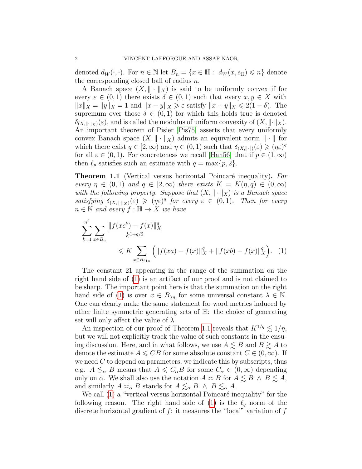denoted  $d_W(\cdot, \cdot)$ . For  $n \in \mathbb{N}$  let  $B_n = \{x \in \mathbb{H} : d_W(x, e_{\mathbb{H}}) \leqslant n\}$  denote the corresponding closed ball of radius n.

A Banach space  $(X, \|\cdot\|_X)$  is said to be uniformly convex if for every  $\varepsilon \in (0,1)$  there exists  $\delta \in (0,1)$  such that every  $x, y \in X$  with  $||x||_X = ||y||_X = 1$  and  $||x - y||_X \ge \varepsilon$  satisfy  $||x + y||_X \le 2(1 - \delta)$ . The supremum over those  $\delta \in (0,1)$  for which this holds true is denoted  $\delta_{(X,\|\cdot\|_X)}(\varepsilon)$ , and is called the modulus of uniform convexity of  $(X,\|\cdot\|_X)$ . An important theorem of Pisier [\[Pis75\]](#page-28-0) asserts that every uniformly convex Banach space  $(X, \|\cdot\|_X)$  admits an equivalent norm  $\|\cdot\|$  for which there exist  $q \in [2,\infty)$  and  $\eta \in (0,1)$  such that  $\delta_{(X,\|\cdot\|)}(\varepsilon) \geq (\eta \varepsilon)^q$ for all  $\varepsilon \in (0,1)$ . For concreteness we recall [\[Han56\]](#page-27-0) that if  $p \in (1,\infty)$ then  $\ell_p$  satisfies such an estimate with  $q = \max\{p, 2\}.$ 

<span id="page-1-1"></span>**Theorem 1.1** (Vertical versus horizontal Poincaré inequality). For every  $\eta \in (0,1)$  and  $q \in [2,\infty)$  there exists  $K = K(\eta, q) \in (0,\infty)$ with the following property. Suppose that  $(X, \|\cdot\|_X)$  is a Banach space satisfying  $\delta_{(X,\|\cdot\|_X)}(\varepsilon) \geqslant (\eta \varepsilon)^q$  for every  $\varepsilon \in (0,1)$ . Then for every  $n \in \mathbb{N}$  and every  $f : \mathbb{H} \to X$  we have

<span id="page-1-0"></span>
$$
\sum_{k=1}^{n^2} \sum_{x \in B_n} \frac{\|f(xc^k) - f(x)\|_X^q}{k^{1+q/2}} \le K \sum_{x \in B_{21n}} \left( \|f(xa) - f(x)\|_X^q + \|f(xb) - f(x)\|_X^q \right). \tag{1}
$$

The constant 21 appearing in the range of the summation on the right hand side of [\(1\)](#page-1-0) is an artifact of our proof and is not claimed to be sharp. The important point here is that the summation on the right hand side of [\(1\)](#page-1-0) is over  $x \in B_{\lambda n}$  for some universal constant  $\lambda \in \mathbb{N}$ . One can clearly make the same statement for word metrics induced by other finite symmetric generating sets of H: the choice of generating set will only affect the value of  $\lambda$ .

An inspection of our proof of Theorem [1.1](#page-1-1) reveals that  $K^{1/q} \lesssim 1/\eta$ , but we will not explicitly track the value of such constants in the ensuing discussion. Here, and in what follows, we use  $A \lesssim B$  and  $B \gtrsim A$  to denote the estimate  $A \leq CB$  for some absolute constant  $C \in (0,\infty)$ . If we need  $C$  to depend on parameters, we indicate this by subscripts, thus e.g.  $A \leq_{\alpha} B$  means that  $A \leq C_{\alpha} B$  for some  $C_{\alpha} \in (0,\infty)$  depending only on  $\alpha$ . We shall also use the notation  $A \simeq B$  for  $A \leq B \wedge B \leq A$ , and similarly  $A \simeq_{\alpha} B$  stands for  $A \lesssim_{\alpha} B \wedge B \lesssim_{\alpha} A$ .

We call  $(1)$  a "vertical versus horizontal Poincaré inequality" for the following reason. The right hand side of [\(1\)](#page-1-0) is the  $\ell_q$  norm of the discrete horizontal gradient of  $f$ : it measures the "local" variation of  $f$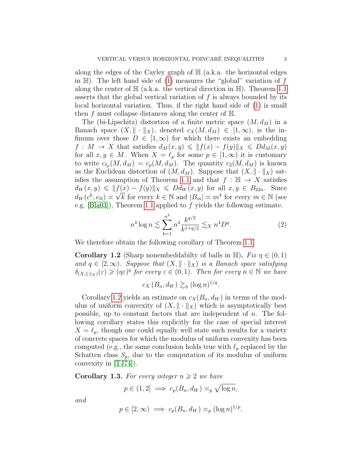along the edges of the Cayley graph of  $\mathbb{H}$  (a.k.a. the horizontal edges in  $\mathbb{H}$ ). The left hand side of [\(1\)](#page-1-0) measures the "global" variation of f along the center of  $\mathbb{H}$  (a.k.a. the vertical direction in  $\mathbb{H}$ ). Theorem [1.1](#page-1-1) asserts that the global vertical variation of  $f$  is always bounded by its local horizontal variation. Thus, if the right hand side of [\(1\)](#page-1-0) is small then f must collapse distances along the center of  $H$ .

The (bi-Lipschitz) distortion of a finite metric space  $(M, d_M)$  in a Banach space  $(X, \|\cdot\|_X)$ , denoted  $c_X(M, d_M) \in [1, \infty)$ , is the infimum over those  $D \in [1,\infty)$  for which there exists an embedding  $f: M \to X$  that satisfies  $d_M(x, y) \leq ||f(x) - f(y)||_X \leq Dd_M(x, y)$ for all  $x, y \in M$ . When  $X = \ell_p$  for some  $p \in [1,\infty)$  it is customary to write  $c_{\ell_p}(M, d_M) = c_p(M, d_M)$ . The quantity  $c_2(M, d_M)$  is known as the Euclidean distortion of  $(M, d_M)$ . Suppose that  $(X, \|\cdot\|_X)$  sat-isfies the assumption of Theorem [1.1](#page-1-1) and that  $f : \mathbb{H} \to X$  satisfies  $d_W(x, y) \leq ||f(x) - f(y)||_X \leq Dd_W(x, y)$  for all  $x, y \in B_{22n}$ . Since  $d_W(c^k, e_{\mathbb{H}}) \asymp \sqrt{k}$  for every  $k \in \mathbb{N}$  and  $|B_m| \asymp m^4$  for every  $m \in \mathbb{N}$  (see e.g.  $[Bla03]$ , Theorem [1.1](#page-1-1) applied to f yields the following estimate.

<span id="page-2-2"></span>
$$
n^4 \log n \lesssim \sum_{k=1}^{n^2} n^4 \frac{k^{q/2}}{k^{1+q/2}} \lesssim_X n^4 D^q. \tag{2}
$$

We therefore obtain the following corollary of Theorem [1.1.](#page-1-1)

<span id="page-2-0"></span>**Corollary 1.2** (Sharp nonembeddabilty of balls in  $\mathbb{H}$ ). Fix  $\eta \in (0,1)$ and  $q \in [2,\infty)$ . Suppose that  $(X, \|\cdot\|_X)$  is a Banach space satisfying  $\delta_{(X,\|\cdot\|_X)}(\varepsilon) \geqslant (\eta \varepsilon)^q$  for every  $\varepsilon \in (0,1)$ . Then for every  $n \in \mathbb{N}$  we have

 $c_X(B_n, d_W) \gtrsim_{\eta} (\log n)^{1/q}.$ 

Corollary [1.2](#page-2-0) yields an estimate on  $c_X(B_n, d_W)$  in terms of the modulus of uniform convexity of  $(X, \|\cdot\|_X)$  which is asymptotically best possible, up to constant factors that are independent of  $n$ . The following corollary states this explicitly for the case of special interest  $X = \ell_p$ , though one could equally well state such results for a variety of concrete spaces for which the modulus of uniform convexity has been computed (e.g., the same conclusion holds true with  $\ell_p$  replaced by the Schatten class  $S_p$ , due to the computation of its modulus of uniform convexity in [\[TJ74\]](#page-28-1)).

<span id="page-2-1"></span>**Corollary 1.3.** For every integer  $n \geq 2$  we have

$$
p \in (1,2] \implies c_p(B_n, d_W) \asymp_p \sqrt{\log n},
$$

and

$$
p \in [2, \infty) \implies c_p(B_n, d_W) \asymp_p (\log n)^{1/p}.
$$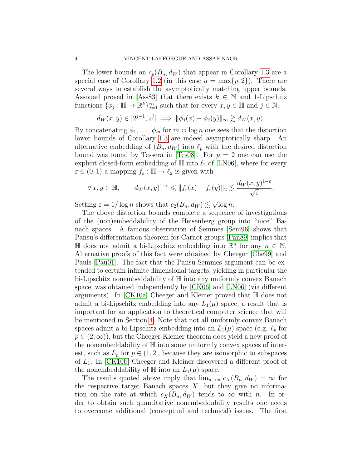The lower bounds on  $c_p(B_n, d_W)$  that appear in Corollary [1.3](#page-2-1) are a special case of Corollary [1.2](#page-2-0) (in this case  $q = \max\{p, 2\}$ ). There are several ways to establish the asymptotically matching upper bounds. Assouad proved in [\[Ass83\]](#page-26-1) that there exists  $k \in \mathbb{N}$  and 1-Lipschitz functions  $\{\phi_j : \mathbb{H} \to \mathbb{R}^k\}_{j=1}^\infty$  such that for every  $x, y \in \mathbb{H}$  and  $j \in \mathbb{N}$ ,

$$
d_W(x,y) \in [2^{j-1}, 2^j] \implies \|\phi_j(x) - \phi_j(y)\|_{\infty} \gtrsim d_W(x,y).
$$

By concatenating  $\phi_1, \ldots, \phi_m$  for  $m \ge \log n$  one sees that the distortion lower bounds of Corollary [1.3](#page-2-1) are indeed asymptotically sharp. An alternative embedding of  $(B_n, d_W)$  into  $\ell_p$  with the desired distortion bound was found by Tessera in [\[Tes08\]](#page-28-2). For  $p = 2$  one can use the explicit closed-form embedding of  $\mathbb{H}$  into  $\ell_2$  of [\[LN06\]](#page-27-1), where for every  $\varepsilon \in (0, 1)$  a mapping  $f_{\varepsilon} : \mathbb{H} \to \ell_2$  is given with

$$
\forall x, y \in \mathbb{H}, \qquad d_W(x, y)^{1-\varepsilon} \leqslant \|f_{\varepsilon}(x) - f_{\varepsilon}(y)\|_2 \lesssim \frac{d_W(x, y)^{1-\varepsilon}}{\sqrt{\varepsilon}}.
$$

Setting  $\varepsilon = 1/\log n$  shows that  $c_2(B_n, d_W) \lesssim \sqrt{n}$  $\overline{\log n}$ .

The above distortion bounds complete a sequence of investigations of the (non)embeddability of the Heisenberg group into "nice" Banach spaces. A famous observation of Semmes [\[Sem96\]](#page-28-3) shows that Pansu's differentiation theorem for Carnot groups [\[Pan89\]](#page-28-4) implies that  $\mathbb{H}$  does not admit a bi-Lipschitz embedding into  $\mathbb{R}^n$  for any  $n \in \mathbb{N}$ . Alternative proofs of this fact were obtained by Cheeger [\[Che99\]](#page-26-2) and Pauls [\[Pau01\]](#page-28-5). The fact that the Pansu-Semmes argument can be extended to certain infinite dimensional targets, yielding in particular the bi-Lipschitz nonembeddability of H into any uniformly convex Banach space, was obtained independently by [\[CK06\]](#page-26-3) and [\[LN06\]](#page-27-1) (via different arguments). In [\[CK10a\]](#page-26-4) Cheeger and Kleiner proved that H does not admit a bi-Lipschitz embedding into any  $L_1(\mu)$  space, a result that is important for an application to theoretical computer science that will be mentioned in Section [4.](#page-22-0) Note that not all uniformly convex Banach spaces admit a bi-Lipschitz embedding into an  $L_1(\mu)$  space (e.g.  $\ell_p$  for  $p \in (2,\infty)$ , but the Cheeger-Kleiner theorem does yield a new proof of the nonembeddability of H into some uniformly convex spaces of interest, such as  $L_p$  for  $p \in (1, 2]$ , because they are isomorphic to subspaces of  $L_1$ . In [\[CK10b\]](#page-27-2) Cheeger and Kleiner discovered a different proof of the nonembeddability of  $\mathbb H$  into an  $L_1(\mu)$  space.

The results quoted above imply that  $\lim_{n\to\infty} c_X(B_n, d_W) = \infty$  for the respective target Banach spaces  $X$ , but they give no information on the rate at which  $c_X(B_n, d_W)$  tends to  $\infty$  with n. In order to obtain such quantitative nonembeddability results one needs to overcome additional (conceptual and technical) issues. The first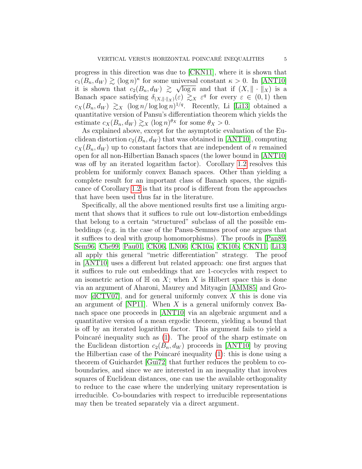progress in this direction was due to [\[CKN11\]](#page-27-3), where it is shown that  $c_1(B_n, d_W) \gtrsim (\log n)^{\kappa}$  for some universal constant  $\kappa > 0$ . In [\[ANT10\]](#page-26-5) it is shown that  $c_2(B_n, d_W) \ge \sqrt{\log n}$  and that if  $(X, \|\cdot\|_X)$  is a Banach space satisfying  $\delta_{(X,\|\cdot\|_X)}(\varepsilon) \gtrsim_X \varepsilon^q$  for every  $\varepsilon \in (0,1)$  then  $c_X(B_n, d_W) \gtrsim_X (\log n / \log \log n)^{1/q}$ . Recently, Li [\[Li13\]](#page-27-4) obtained a quantitative version of Pansu's differentiation theorem which yields the estimate  $c_X(B_n, d_W) \gtrsim_X (\log n)^{\theta_X}$  for some  $\theta_X > 0$ .

As explained above, except for the asymptotic evaluation of the Euclidean distortion  $c_2(B_n, d_W)$  that was obtained in [\[ANT10\]](#page-26-5), computing  $c_X(B_n, d_W)$  up to constant factors that are independent of n remained open for all non-Hilbertian Banach spaces (the lower bound in [\[ANT10\]](#page-26-5) was off by an iterated logarithm factor). Corollary [1.2](#page-2-0) resolves this problem for uniformly convex Banach spaces. Other than yielding a complete result for an important class of Banach spaces, the significance of Corollary [1.2](#page-2-0) is that its proof is different from the approaches that have been used thus far in the literature.

Specifically, all the above mentioned results first use a limiting argument that shows that it suffices to rule out low-distortion embeddings that belong to a certain "structured" subclass of all the possible embeddings (e.g. in the case of the Pansu-Semmes proof one argues that it suffices to deal with group homomorphisms). The proofs in [\[Pan89,](#page-28-4) [Sem96,](#page-28-3) [Che99,](#page-26-2) [Pau01,](#page-28-5) [CK06,](#page-26-3) [LN06,](#page-27-1) [CK10a,](#page-26-4) [CK10b,](#page-27-2) [CKN11,](#page-27-3) [Li13\]](#page-27-4) all apply this general "metric differentiation" strategy. The proof in [\[ANT10\]](#page-26-5) uses a different but related approach: one first argues that it suffices to rule out embeddings that are 1-cocycles with respect to an isometric action of  $\mathbb H$  on X; when X is Hilbert space this is done via an argument of Aharoni, Maurey and Mityagin [\[AMM85\]](#page-26-6) and Gromov  $\text{dCTV07}$ , and for general uniformly convex X this is done via an argument of  $[NP11]$ . When X is a general uniformly convex Banach space one proceeds in [\[ANT10\]](#page-26-5) via an algebraic argument and a quantitative version of a mean ergodic theorem, yielding a bound that is off by an iterated logarithm factor. This argument fails to yield a Poincaré inequality such as  $(1)$ . The proof of the sharp estimate on the Euclidean distortion  $c_2(B_n, d_W)$  proceeds in [\[ANT10\]](#page-26-5) by proving the Hilbertian case of the Poincaré inequality  $(1)$ : this is done using a theorem of Guichardet [\[Gui72\]](#page-27-7) that further reduces the problem to coboundaries, and since we are interested in an inequality that involves squares of Euclidean distances, one can use the available orthogonality to reduce to the case where the underlying unitary representation is irreducible. Co-boundaries with respect to irreducible representations may then be treated separately via a direct argument.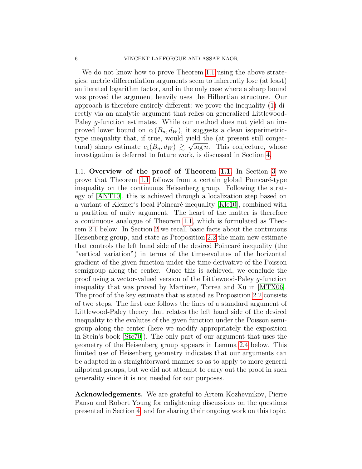We do not know how to prove Theorem [1.1](#page-1-1) using the above strategies: metric differentiation arguments seem to inherently lose (at least) an iterated logarithm factor, and in the only case where a sharp bound was proved the argument heavily uses the Hilbertian structure. Our approach is therefore entirely different: we prove the inequality [\(1\)](#page-1-0) directly via an analytic argument that relies on generalized Littlewood-Paley g-function estimates. While our method does not yield an improved lower bound on  $c_1(B_n, d_W)$ , it suggests a clean isoperimetrictype inequality that, if true, would yield the (at present still conjectural) sharp estimate  $c_1(B_n, d_W) \geq \sqrt{\log n}$ . This conjecture, whose investigation is deferred to future work, is discussed in Section [4.](#page-22-0)

1.1. Overview of the proof of Theorem [1.1.](#page-1-1) In Section [3](#page-15-0) we prove that Theorem [1.1](#page-1-1) follows from a certain global Poincaré-type inequality on the continuous Heisenberg group. Following the strategy of [\[ANT10\]](#page-26-5), this is achieved through a localization step based on a variant of Kleiner's local Poincaré inequality [\[Kle10\]](#page-27-8), combined with a partition of unity argument. The heart of the matter is therefore a continuous analogue of Theorem [1.1,](#page-1-1) which is formulated as Theorem [2.1](#page-7-0) below. In Section [2](#page-6-0) we recall basic facts about the continuous Heisenberg group, and state as Proposition [2.2](#page-8-0) the main new estimate that controls the left hand side of the desired Poincaré inequality (the "vertical variation") in terms of the time-evolutes of the horizontal gradient of the given function under the time-derivative of the Poisson semigroup along the center. Once this is achieved, we conclude the proof using a vector-valued version of the Littlewood-Paley g-function inequality that was proved by Martinez, Torrea and Xu in [\[MTX06\]](#page-27-9). The proof of the key estimate that is stated as Proposition [2.2](#page-8-0) consists of two steps. The first one follows the lines of a standard argument of Littlewood-Paley theory that relates the left hand side of the desired inequality to the evolutes of the given function under the Poisson semigroup along the center (here we modify appropriately the exposition in Stein's book [\[Ste70\]](#page-28-6)). The only part of our argument that uses the geometry of the Heisenberg group appears in Lemma [2.4](#page-10-0) below. This limited use of Heisenberg geometry indicates that our arguments can be adapted in a straightforward manner so as to apply to more general nilpotent groups, but we did not attempt to carry out the proof in such generality since it is not needed for our purposes.

Acknowledgements. We are grateful to Artem Kozhevnikov, Pierre Pansu and Robert Young for enlightening discussions on the questions presented in Section [4,](#page-22-0) and for sharing their ongoing work on this topic.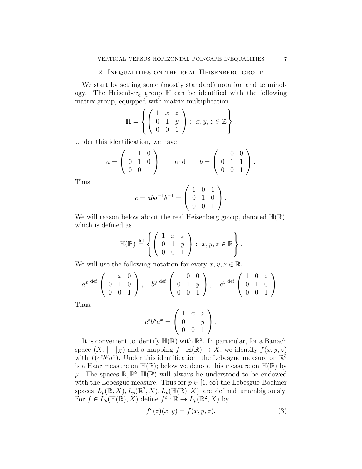## 2. Inequalities on the real Heisenberg group

<span id="page-6-0"></span>We start by setting some (mostly standard) notation and terminology. The Heisenberg group H can be identified with the following matrix group, equipped with matrix multiplication.

$$
\mathbb{H} = \left\{ \left( \begin{array}{ccc} 1 & x & z \\ 0 & 1 & y \\ 0 & 0 & 1 \end{array} \right) : x, y, z \in \mathbb{Z} \right\}.
$$

Under this identification, we have

$$
a = \begin{pmatrix} 1 & 1 & 0 \\ 0 & 1 & 0 \\ 0 & 0 & 1 \end{pmatrix} \quad \text{and} \quad b = \begin{pmatrix} 1 & 0 & 0 \\ 0 & 1 & 1 \\ 0 & 0 & 1 \end{pmatrix}.
$$

Thus

$$
c = aba^{-1}b^{-1} = \begin{pmatrix} 1 & 0 & 1 \\ 0 & 1 & 0 \\ 0 & 0 & 1 \end{pmatrix}.
$$

We will reason below about the real Heisenberg group, denoted  $\mathbb{H}(\mathbb{R})$ , which is defined as

$$
\mathbb{H}(\mathbb{R}) \stackrel{\text{def}}{=} \left\{ \left( \begin{array}{ccc} 1 & x & z \\ 0 & 1 & y \\ 0 & 0 & 1 \end{array} \right) : x, y, z \in \mathbb{R} \right\}.
$$

We will use the following notation for every  $x, y, z \in \mathbb{R}$ .

$$
a^x \stackrel{\text{def}}{=} \left( \begin{array}{ccc} 1 & x & 0 \\ 0 & 1 & 0 \\ 0 & 0 & 1 \end{array} \right), \quad b^y \stackrel{\text{def}}{=} \left( \begin{array}{ccc} 1 & 0 & 0 \\ 0 & 1 & y \\ 0 & 0 & 1 \end{array} \right), \quad c^z \stackrel{\text{def}}{=} \left( \begin{array}{ccc} 1 & 0 & z \\ 0 & 1 & 0 \\ 0 & 0 & 1 \end{array} \right).
$$

Thus,

$$
c^z b^y a^x = \begin{pmatrix} 1 & x & z \\ 0 & 1 & y \\ 0 & 0 & 1 \end{pmatrix}.
$$

It is convenient to identify  $\mathbb{H}(\mathbb{R})$  with  $\mathbb{R}^3$ . In particular, for a Banach space  $(X, \|\cdot\|_X)$  and a mapping  $f : \mathbb{H}(\mathbb{R}) \to X$ , we identify  $f(x, y, z)$ with  $f(c^z b^y a^x)$ . Under this identification, the Lebesgue measure on  $\mathbb{R}^3$ is a Haar measure on  $\mathbb{H}(\mathbb{R})$ ; below we denote this measure on  $\mathbb{H}(\mathbb{R})$  by  $\mu$ . The spaces  $\mathbb{R}, \mathbb{R}^2, \mathbb{H}(\mathbb{R})$  will always be understood to be endowed with the Lebesgue measure. Thus for  $p \in [1,\infty)$  the Lebesgue-Bochner spaces  $L_p(\mathbb{R}, X)$ ,  $L_p(\mathbb{R}^2, X)$ ,  $L_p(\mathbb{H}(\mathbb{R}), X)$  are defined unambiguously. For  $f \in L_p(\mathbb{H}(\mathbb{R}), X)$  define  $f^c : \mathbb{R} \to L_p(\mathbb{R}^2, X)$  by

<span id="page-6-1"></span>
$$
f^{c}(z)(x,y) = f(x,y,z).
$$
 (3)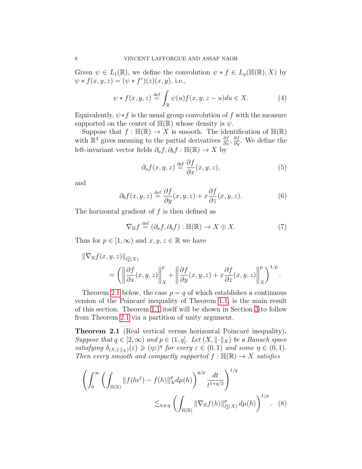Given  $\psi \in L_1(\mathbb{R})$ , we define the convolution  $\psi * f \in L_p(\mathbb{H}(\mathbb{R}), X)$  by  $\psi * f(x, y, z) = (\psi * f^c)(z)(x, y)$ , i.e.,

$$
\psi * f(x, y, z) \stackrel{\text{def}}{=} \int_{\mathbb{R}} \psi(u) f(x, y, z - u) du \in X. \tag{4}
$$

Equivalently,  $\psi * f$  is the usual group convolution of f with the measure supported on the center of  $\mathbb{H}(\mathbb{R})$  whose density is  $\psi$ .

Suppose that  $f : \mathbb{H}(\mathbb{R}) \to X$  is smooth. The identification of  $\mathbb{H}(\mathbb{R})$ with  $\mathbb{R}^3$  gives meaning to the partial derivatives  $\frac{\partial f}{\partial x}, \frac{\partial f}{\partial y}$ . We define the left-invariant vector fields  $\partial_a f, \partial_b f : \mathbb{H}(\mathbb{R}) \to X$  by

<span id="page-7-2"></span>
$$
\partial_a f(x, y, z) \stackrel{\text{def}}{=} \frac{\partial f}{\partial x}(x, y, z),\tag{5}
$$

and

<span id="page-7-3"></span>
$$
\partial_b f(x, y, z) \stackrel{\text{def}}{=} \frac{\partial f}{\partial y}(x, y, z) + x \frac{\partial f}{\partial z}(x, y, z). \tag{6}
$$

The horizontal gradient of  $f$  is then defined as

<span id="page-7-4"></span>
$$
\nabla_{\mathbb{H}} f \stackrel{\text{def}}{=} (\partial_a f, \partial_b f) : \mathbb{H}(\mathbb{R}) \to X \oplus X. \tag{7}
$$

<span id="page-7-1"></span>.

Thus for  $p \in [1,\infty)$  and  $x, y, z \in \mathbb{R}$  we have

$$
\|\nabla_{\mathbb{H}} f(x, y, z)\|_{\ell_p^2(X)}
$$
  
=  $\left( \left\| \frac{\partial f}{\partial x}(x, y, z) \right\|_X^p + \left\| \frac{\partial f}{\partial y}(x, y, z) + x \frac{\partial f}{\partial z}(x, y, z) \right\|_X^p \right)^{1/p}$ 

Theorem [2.1](#page-7-0) below, the case  $p = q$  of which establishes a continuous version of the Poincaré inequality of Theorem [1.1,](#page-1-1) is the main result of this section. Theorem [1.1](#page-1-1) itself will be shown in Section [3](#page-15-0) to follow from Theorem [2.1](#page-7-0) via a partition of unity argument.

<span id="page-7-0"></span>**Theorem 2.1** (Real vertical versus horizontal Poincaré inequality). Suppose that  $q \in [2,\infty)$  and  $p \in (1,q]$ . Let  $(X, \|\cdot\|_X)$  be a Banach space satisfying  $\delta_{(X,\|\cdot\|_X)}(\varepsilon) \geqslant (\eta \varepsilon)^q$  for every  $\varepsilon \in (0,1)$  and some  $\eta \in (0,1)$ . Then every smooth and compactly supported  $f : \mathbb{H}(\mathbb{R}) \to X$  satisfies

$$
\left(\int_0^\infty \left(\int_{\mathbb{H}(\mathbb{R})} \|f(hc^t) - f(h)\|_X^p d\mu(h)\right)^{q/p} \frac{dt}{t^{1+q/2}}\right)^{1/q} \lesssim_{\eta,p,q} \left(\int_{\mathbb{H}(\mathbb{R})} \|\nabla_{\mathbb{H}} f(h)\|_{\ell_p^2(X)}^p d\mu(h)\right)^{1/p}.
$$
 (8)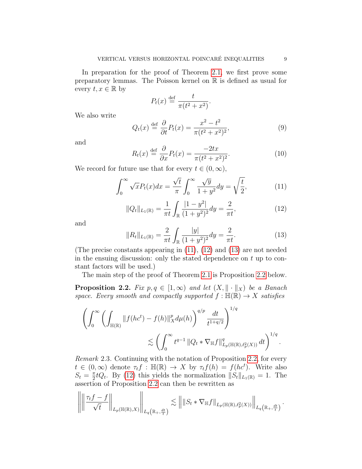$$
P_t(x) \stackrel{\text{def}}{=} \frac{t}{\pi(t^2 + x^2)}.
$$

We also write

<span id="page-8-4"></span>
$$
Q_t(x) \stackrel{\text{def}}{=} \frac{\partial}{\partial t} P_t(x) = \frac{x^2 - t^2}{\pi (t^2 + x^2)^2},\tag{9}
$$

and

<span id="page-8-5"></span>
$$
R_t(x) \stackrel{\text{def}}{=} \frac{\partial}{\partial x} P_t(x) = \frac{-2tx}{\pi(t^2 + x^2)^2}.
$$
 (10)

We record for future use that for every  $t \in (0,\infty)$ ,

<span id="page-8-1"></span>
$$
\int_0^\infty \sqrt{x} P_t(x) dx = \frac{\sqrt{t}}{\pi} \int_0^\infty \frac{\sqrt{y}}{1 + y^2} dy = \sqrt{\frac{t}{2}},\tag{11}
$$

<span id="page-8-2"></span>
$$
||Q_t||_{L_1(\mathbb{R})} = \frac{1}{\pi t} \int_{\mathbb{R}} \frac{|1 - y^2|}{(1 + y^2)^2} dy = \frac{2}{\pi t},
$$
\n(12)

and

<span id="page-8-3"></span>
$$
||R_t||_{L_1(\mathbb{R})} = \frac{2}{\pi t} \int_{\mathbb{R}} \frac{|y|}{(1+y^2)^2} dy = \frac{2}{\pi t}.
$$
 (13)

(The precise constants appearing in [\(11\)](#page-8-1), [\(12\)](#page-8-2) and [\(13\)](#page-8-3) are not needed in the ensuing discussion: only the stated dependence on  $t$  up to constant factors will be used.)

The main step of the proof of Theorem [2.1](#page-7-0) is Proposition [2.2](#page-8-0) below.

<span id="page-8-0"></span>**Proposition 2.2.** Fix  $p, q \in [1, \infty)$  and let  $(X, \|\cdot\|_X)$  be a Banach space. Every smooth and compactly supported  $f : \mathbb{H}(\mathbb{R}) \to X$  satisfies

$$
\left(\int_0^\infty \left(\int_{\mathbb{H}(\mathbb{R})} \|f(hc^t) - f(h)\|_X^p d\mu(h)\right)^{q/p} \frac{dt}{t^{1+q/2}}\right)^{1/q} \lesssim \left(\int_0^\infty t^{q-1} \|Q_t * \nabla_{\mathbb{H}} f\|_{L_p(\mathbb{H}(\mathbb{R}), \ell_p^2(X))}^q dt\right)^{1/q}.
$$

Remark 2.3. Continuing with the notation of Proposition [2.2,](#page-8-0) for every  $t \in (0,\infty)$  denote  $\tau_t f : \mathbb{H}(\mathbb{R}) \to X$  by  $\tau_t f(h) = f(hc^t)$ . Write also  $S_t = \frac{\pi}{2}$  $\frac{\pi}{2}tQ_t$ . By [\(12\)](#page-8-2) this yields the normalization  $||S_t||_{L_1(\mathbb{R})} = 1$ . The assertion of Proposition [2.2](#page-8-0) can then be rewritten as

$$
\left\|\left\|\frac{\tau_t f-f}{\sqrt{t}}\right\|_{L_p(\mathbb{H}(\mathbb{R}),X)}\right\|_{L_q\left(\mathbb{R}_+,\frac{dt}{t}\right)} \lesssim \left\|\left\|S_t\ast \nabla_{\mathbb{H}} f\right\|_{L_p(\mathbb{H}(\mathbb{R}),\ell_p^2(X))}\right\|_{L_q\left(\mathbb{R}_+,\frac{dt}{t}\right)}.
$$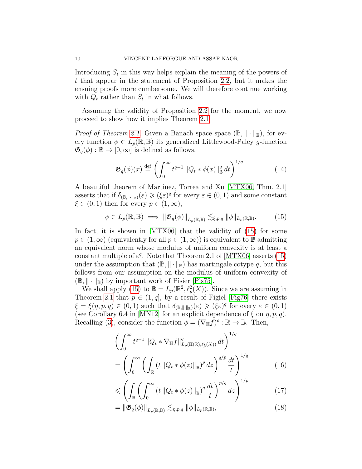Introducing  $S_t$  in this way helps explain the meaning of the powers of t that appear in the statement of Proposition [2.2,](#page-8-0) but it makes the ensuing proofs more cumbersome. We will therefore continue working with  $Q_t$  rather than  $S_t$  in what follows.

Assuming the validity of Proposition [2.2](#page-8-0) for the moment, we now proceed to show how it implies Theorem [2.1.](#page-7-0)

*Proof of Theorem [2.1.](#page-7-0)* Given a Banach space space  $(\mathbb{B}, \|\cdot\|_{\mathbb{B}})$ , for every function  $\phi \in L_p(\mathbb{R}, \mathbb{B})$  its generalized Littlewood-Paley g-function  $\mathfrak{G}_q(\phi): \mathbb{R} \to [0,\infty]$  is defined as follows.

<span id="page-9-4"></span>
$$
\mathfrak{G}_q(\phi)(x) \stackrel{\text{def}}{=} \left( \int_0^\infty t^{q-1} \|Q_t * \phi(x)\|_{\mathbb{B}}^q dt \right)^{1/q}.
$$
 (14)

A beautiful theorem of Martinez, Torrea and Xu [\[MTX06,](#page-27-9) Thm. 2.1] asserts that if  $\delta_{(\mathbb{B},\|\cdot\|_{\mathbb{B}})}(\varepsilon) \geqslant (\xi \varepsilon)^q$  for every  $\varepsilon \in (0,1)$  and some constant  $\xi \in (0,1)$  then for every  $p \in (1,\infty)$ ,

<span id="page-9-0"></span>
$$
\phi \in L_p(\mathbb{R}, \mathbb{B}) \implies \|\mathfrak{G}_q(\phi)\|_{L_p(\mathbb{R}, \mathbb{B})} \lesssim_{\xi, p, q} \|\phi\|_{L_p(\mathbb{R}, \mathbb{B})}.
$$
 (15)

In fact, it is shown in [\[MTX06\]](#page-27-9) that the validity of  $(15)$  for some  $p \in (1,\infty)$  (equivalently for all  $p \in (1,\infty)$ ) is equivalent to B admitting an equivalent norm whose modulus of uniform convexity is at least a constant multiple of  $\varepsilon^q$ . Note that Theorem 2.1 of [\[MTX06\]](#page-27-9) asserts [\(15\)](#page-9-0) under the assumption that  $(\mathbb{B}, \|\cdot\|_{\mathbb{B}})$  has martingale cotype q, but this follows from our assumption on the modulus of uniform convexity of  $(\mathbb{B}, \|\cdot\|_{\mathbb{B}})$  by important work of Pisier [\[Pis75\]](#page-28-0).

We shall apply [\(15\)](#page-9-0) to  $\mathbb{B} = L_p(\mathbb{R}^2, \ell_p^2(X))$ . Since we are assuming in Theorem [2.1](#page-7-0) that  $p \in (1, q]$ , by a result of Figiel [\[Fig76\]](#page-27-10) there exists  $\xi = \xi(\eta, p, q) \in (0, 1)$  such that  $\delta_{(\mathbb{B}, \|\cdot\|_{\mathbb{B}})}(\varepsilon) \geqslant (\xi \varepsilon)^q$  for every  $\varepsilon \in (0, 1)$ (see Corollary 6.4 in [\[MN12\]](#page-27-11) for an explicit dependence of  $\xi$  on  $\eta$ ,  $p$ ,  $q$ ). Recalling [\(3\)](#page-6-1), consider the function  $\phi = (\nabla_{\mathbb{H}} f)^c : \mathbb{R} \to \mathbb{B}$ . Then,

$$
\left(\int_0^\infty t^{q-1} \|Q_t * \nabla_{\mathbb{H}} f\|_{L_p(\mathbb{H}(\mathbb{R}), \ell_p^2(X))}^q dt\right)^{1/q} \n= \left(\int_0^\infty \left(\int_{\mathbb{R}} (t \|Q_t * \phi(z)\|_{\mathbb{B}})^p dz\right)^{q/p} \frac{dt}{t}\right)^{1/q}
$$
\n(16)

<span id="page-9-2"></span><span id="page-9-1"></span>
$$
\leqslant \left( \int_{\mathbb{R}} \left( \int_0^\infty \left( t \left\| Q_t * \phi(z) \right\|_{\mathbb{B}} \right)^q \frac{dt}{t} \right)^{p/q} dz \right)^{1/p} \tag{17}
$$

<span id="page-9-3"></span>
$$
= \|\mathfrak{G}_q(\phi)\|_{L_p(\mathbb{R}, \mathbb{B})} \lesssim_{\eta, p, q} \|\phi\|_{L_p(\mathbb{R}, \mathbb{B})},
$$
\n(18)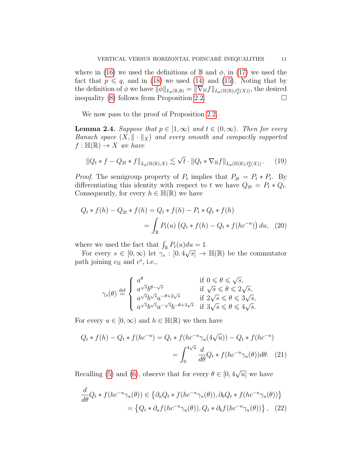where in [\(16\)](#page-9-1) we used the definitions of  $\mathbb B$  and  $\phi$ , in [\(17\)](#page-9-2) we used the fact that  $p \leq q$ , and in [\(18\)](#page-9-3) we used [\(14\)](#page-9-4) and [\(15\)](#page-9-0). Noting that by the definition of  $\phi$  we have  $\|\phi\|_{L_p(\mathbb{R},\mathbb{B})} = \|\nabla_{\mathbb{H}}f\|_{L_p(\mathbb{H}(\mathbb{R}),\ell_p^2(X))}$ , the desired inequality [\(8\)](#page-7-1) follows from Proposition [2.2.](#page-8-0)  $\Box$ 

We now pass to the proof of Proposition [2.2.](#page-8-0)

<span id="page-10-0"></span>**Lemma 2.4.** Suppose that  $p \in [1,\infty)$  and  $t \in (0,\infty)$ . Then for every Banach space  $(X, \|\cdot\|_X)$  and every smooth and compactly supported  $f : \mathbb{H}(\mathbb{R}) \to X$  we have

<span id="page-10-4"></span>
$$
||Q_t * f - Q_{2t} * f||_{L_p(\mathbb{H}(\mathbb{R}), X)} \lesssim \sqrt{t} \cdot ||Q_t * \nabla_{\mathbb{H}} f||_{L_p(\mathbb{H}(\mathbb{R}), \ell_p^2(X))}. \tag{19}
$$

*Proof.* The semigroup property of  $P_t$  implies that  $P_{2t} = P_t * P_t$ . By differentiating this identity with respect to t we have  $Q_{2t} = P_t * Q_t$ . Consequently, for every  $h \in \mathbb{H}(\mathbb{R})$  we have

$$
Q_t * f(h) - Q_{2t} * f(h) = Q_t * f(h) - P_t * Q_t * f(h)
$$
  
= 
$$
\int_{\mathbb{R}} P_t(u) (Q_t * f(h) - Q_t * f(hc^{-u})) du, (20)
$$

where we used the fact that  $\int_{\mathbb{R}} P_t(u) du = 1$ .

For every  $s \in [0, \infty)$  let  $\gamma_s : [0, 4\sqrt{s}] \to \mathbb{H}(\mathbb{R})$  be the commutator path joining  $e_{\mathbb{H}}$  and  $c^s$ , i.e.,

<span id="page-10-3"></span><span id="page-10-1"></span>
$$
\gamma_s(\theta) \stackrel{\text{def}}{=} \begin{cases} a^{\theta} & \text{if } 0 \leq \theta \leq \sqrt{s}, \\ a^{\sqrt{s}} b^{\theta-\sqrt{s}} & \text{if } \sqrt{s} \leq \theta \leq 2\sqrt{s}, \\ a^{\sqrt{s}} b^{\sqrt{s}} a^{-\theta+2\sqrt{s}} & \text{if } 2\sqrt{s} \leq \theta \leq 3\sqrt{s}, \\ a^{\sqrt{s}} b^{\sqrt{s}} a^{-\sqrt{s}} b^{-\theta+3\sqrt{s}} & \text{if } 3\sqrt{s} \leq \theta \leq 4\sqrt{s}. \end{cases}
$$

For every  $u \in [0, \infty)$  and  $h \in \mathbb{H}(\mathbb{R})$  we then have

$$
Q_t * f(h) - Q_t * f(hc^{-u}) = Q_t * f(hc^{-u}\gamma_u(4\sqrt{u})) - Q_t * f(hc^{-u})
$$
  
= 
$$
\int_0^{4\sqrt{u}} \frac{d}{d\theta} Q_t * f(hc^{-u}\gamma_u(\theta)) d\theta.
$$
 (21)

Recalling [\(5\)](#page-7-2) and [\(6\)](#page-7-3), observe that for every  $\theta \in [0, 4]$ √  $\overline{u}$  we have

<span id="page-10-2"></span>
$$
\frac{d}{d\theta}Q_t * f(hc^{-u}\gamma_u(\theta)) \in \left\{\partial_a Q_t * f(hc^{-u}\gamma_u(\theta)), \partial_b Q_t * f(hc^{-u}\gamma_u(\theta))\right\}
$$

$$
= \left\{Q_t * \partial_a f(hc^{-u}\gamma_u(\theta)), Q_t * \partial_b f(hc^{-u}\gamma_u(\theta))\right\}, \quad (22)
$$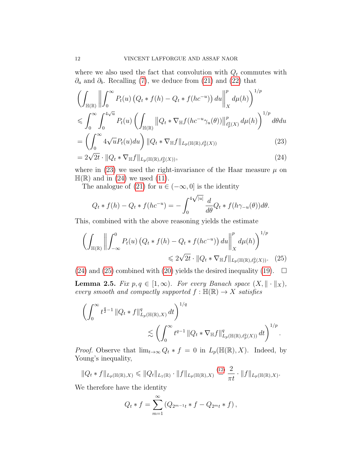where we also used the fact that convolution with  $Q_t$  commutes with  $∂<sub>a</sub>$  and  $∂<sub>b</sub>$ . Recalling [\(7\)](#page-7-4), we deduce from [\(21\)](#page-10-1) and [\(22\)](#page-10-2) that

$$
\left(\int_{\mathbb{H}(\mathbb{R})} \left\| \int_0^\infty P_t(u) \left( Q_t * f(h) - Q_t * f(hc^{-u}) \right) du \right\|_X^p d\mu(h) \right)^{1/p}
$$
  
\n
$$
\leq \int_0^\infty \int_0^{4\sqrt{u}} P_t(u) \left( \int_{\mathbb{H}(\mathbb{R})} \left\| Q_t * \nabla_{\mathbb{H}} f(hc^{-u} \gamma_u(\theta)) \right\|_{\ell_p^2(X)}^p d\mu(h) \right)^{1/p} d\theta du
$$
  
\n
$$
= \left( \int_0^\infty 4\sqrt{u} P_t(u) du \right) \left\| Q_t * \nabla_{\mathbb{H}} f \right\|_{L_p(\mathbb{H}(\mathbb{R}), \ell_p^2(X))} \tag{23}
$$

$$
= 2\sqrt{2t} \cdot ||Q_t * \nabla_{\mathbb{H}} f||_{L_p(\mathbb{H}(\mathbb{R}), \ell_p^2(X))},
$$
\n(24)

where in [\(23\)](#page-11-0) we used the right-invariance of the Haar measure  $\mu$  on  $\mathbb{H}(\mathbb{R})$  and in [\(24\)](#page-11-1) we used [\(11\)](#page-8-1).

The analogue of [\(21\)](#page-10-1) for  $u \in (-\infty, 0]$  is the identity

<span id="page-11-2"></span><span id="page-11-1"></span><span id="page-11-0"></span>
$$
Q_t * f(h) - Q_t * f(hc^{-u}) = -\int_0^{4\sqrt{|u|}} \frac{d}{d\theta} Q_t * f(h\gamma_{-u}(\theta))d\theta.
$$

This, combined with the above reasoning yields the estimate

$$
\left(\int_{\mathbb{H}(\mathbb{R})} \left\| \int_{-\infty}^{0} P_t(u) \left( Q_t * f(h) - Q_t * f(hc^{-u}) \right) du \right\|_{X}^{p} d\mu(h) \right)^{1/p}
$$
  
\$\leq 2\sqrt{2t} \cdot ||Q\_t \* \nabla\_{\mathbb{H}} f||\_{L\_p(\mathbb{H}(\mathbb{R}), \ell\_p^2(X))} \cdot (25)\$

[\(24\)](#page-11-1) and [\(25\)](#page-11-2) combined with [\(20\)](#page-10-3) yields the desired inequality [\(19\)](#page-10-4).  $\Box$ 

<span id="page-11-3"></span>**Lemma 2.5.** Fix  $p, q \in [1, \infty)$ . For every Banach space  $(X, \|\cdot\|_X)$ , every smooth and compactly supported  $f : \mathbb{H}(\mathbb{R}) \to X$  satisfies

$$
\left(\int_0^\infty t^{\frac{q}{2}-1} \|Q_t*f\|^q_{L_p(\mathbb{H}(\mathbb{R}),X)} dt\right)^{1/q} \lesssim \left(\int_0^\infty t^{q-1} \|Q_t*\nabla_{\mathbb{H}}f\|^q_{L_p(\mathbb{H}(\mathbb{R}),\ell_p^2(X))} dt\right)^{1/p}.
$$

*Proof.* Observe that  $\lim_{t\to\infty} Q_t * f = 0$  in  $L_p(\mathbb{H}(\mathbb{R}), X)$ . Indeed, by Young's inequality,

$$
||Q_t * f||_{L_p(\mathbb{H}(\mathbb{R}),X)} \leq ||Q_t||_{L_1(\mathbb{R})} \cdot ||f||_{L_p(\mathbb{H}(\mathbb{R}),X)} \stackrel{(12)}{=} \frac{2}{\pi t} \cdot ||f||_{L_p(\mathbb{H}(\mathbb{R}),X)}.
$$

We therefore have the identity

$$
Q_t * f = \sum_{m=1}^{\infty} (Q_{2^{m-1}t} * f - Q_{2^{m}t} * f),
$$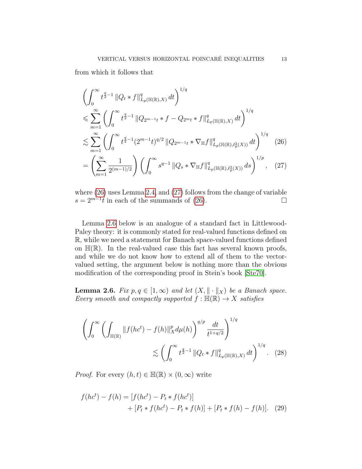from which it follows that

<span id="page-12-0"></span>
$$
\left(\int_{0}^{\infty} t^{\frac{q}{2}-1} \|Q_t * f\|_{L_p(\mathbb{H}(\mathbb{R}),X)}^q dt\right)^{1/q}
$$
\n
$$
\leqslant \sum_{m=1}^{\infty} \left(\int_{0}^{\infty} t^{\frac{q}{2}-1} \|Q_{2^{m-1}t} * f - Q_{2^m t} * f\|_{L_p(\mathbb{H}(\mathbb{R}),X)}^q dt\right)^{1/q}
$$
\n
$$
\leqslant \sum_{m=1}^{\infty} \left(\int_{0}^{\infty} t^{\frac{q}{2}-1} (2^{m-1}t)^{q/2} \|Q_{2^{m-1}t} * \nabla_{\mathbb{H}} f\|_{L_p(\mathbb{H}(\mathbb{R}),\ell_p^2(X))}^q dt\right)^{1/q} (26)
$$
\n
$$
= \left(\sum_{m=1}^{\infty} \frac{1}{2^{(m-1)/2}}\right) \left(\int_{0}^{\infty} s^{q-1} \|Q_s * \nabla_{\mathbb{H}} f\|_{L_p(\mathbb{H}(\mathbb{R}),\ell_p^2(X))}^q ds\right)^{1/p}, \quad (27)
$$

<span id="page-12-1"></span>where [\(26\)](#page-12-0) uses Lemma [2.4,](#page-10-0) and [\(27\)](#page-12-1) follows from the change of variable  $s = 2^{m-1}t$  in each of the summands of [\(26\)](#page-12-0).

Lemma [2.6](#page-12-2) below is an analogue of a standard fact in Littlewood-Paley theory: it is commonly stated for real-valued functions defined on R, while we need a statement for Banach space-valued functions defined on  $\mathbb{H}(\mathbb{R})$ . In the real-valued case this fact has several known proofs, and while we do not know how to extend all of them to the vectorvalued setting, the argument below is nothing more than the obvious modification of the corresponding proof in Stein's book [\[Ste70\]](#page-28-6).

<span id="page-12-2"></span>**Lemma 2.6.** Fix  $p, q \in [1, \infty)$  and let  $(X, \|\cdot\|_X)$  be a Banach space. Every smooth and compactly supported  $f : \mathbb{H}(\mathbb{R}) \to X$  satisfies

<span id="page-12-4"></span>
$$
\left(\int_0^\infty \left(\int_{\mathbb{H}(\mathbb{R})} \|f(hc^t) - f(h)\|_X^p d\mu(h)\right)^{q/p} \frac{dt}{t^{1+q/2}}\right)^{1/q} \lesssim \left(\int_0^\infty t^{\frac{q}{2}-1} \|Q_t * f\|_{L_p(\mathbb{H}(\mathbb{R}),X)}^q dt\right)^{1/q}.\tag{28}
$$

*Proof.* For every  $(h, t) \in \mathbb{H}(\mathbb{R}) \times (0, \infty)$  write

<span id="page-12-3"></span>
$$
f(hct) - f(h) = [f(hct) - Pt * f(hct)] + [Pt * f(hct) - Pt * f(h)] + [Pt * f(h) - f(h)].
$$
 (29)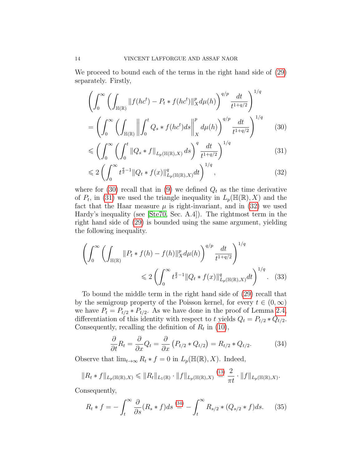We proceed to bound each of the terms in the right hand side of [\(29\)](#page-12-3) separately. Firstly,

$$
\left(\int_0^\infty \left(\int_{\mathbb{H}(\mathbb{R})} \|f(hc^t) - P_t * f(hc^t)\|_X^p d\mu(h)\right)^{q/p} \frac{dt}{t^{1+q/2}}\right)^{1/q}
$$
\n
$$
= \left(\int_0^\infty \left(\int_{\mathbb{H}(\mathbb{R})} \left\| \int_0^t Q_s * f(hc^t) ds \right\|_X^p d\mu(h)\right)^{q/p} \frac{dt}{t^{1+q/2}}\right)^{1/q} \tag{30}
$$

<span id="page-13-1"></span><span id="page-13-0"></span>
$$
\leqslant \left( \int_0^\infty \left( \int_0^t \|Q_s * f\|_{L_p(\mathbb{H}(\mathbb{R}), X)} ds \right)^q \frac{dt}{t^{1+q/2}} \right)^{1/q} \tag{31}
$$

<span id="page-13-2"></span>
$$
\leqslant 2\left(\int_0^\infty t^{\frac{q}{2}-1} \|Q_t * f(x)\|_{L_p(\mathbb{H}(\mathbb{R}),X)}^q dt\right)^{1/q},\tag{32}
$$

where for [\(30\)](#page-13-0) recall that in [\(9\)](#page-8-4) we defined  $Q_t$  as the time derivative of  $P_t$ , in [\(31\)](#page-13-1) we used the triangle inequality in  $L_p(\mathbb{H}(\mathbb{R}), X)$  and the fact that the Haar measure  $\mu$  is right-invariant, and in [\(32\)](#page-13-2) we used Hardy's inequality (see [\[Ste70,](#page-28-6) Sec. A.4]). The rightmost term in the right hand side of [\(29\)](#page-12-3) is bounded using the same argument, yielding the following inequality.

$$
\left(\int_0^\infty \left(\int_{\mathbb{H}(\mathbb{R})} \|P_t * f(h) - f(h)\|_X^p d\mu(h)\right)^{q/p} \frac{dt}{t^{1+q/2}}\right)^{1/q} \le 2 \left(\int_0^\infty t^{\frac{q}{2}-1} \|Q_t * f(x)\|_{L_p(\mathbb{H}(\mathbb{R}),X)}^q dt\right)^{1/q}.\tag{33}
$$

To bound the middle term in the right hand side of [\(29\)](#page-12-3) recall that by the semigroup property of the Poisson kernel, for every  $t \in (0,\infty)$ we have  $P_t = P_{t/2} * P_{t/2}$ . As we have done in the proof of Lemma [2.4,](#page-10-0) differentiation of this identity with respect to t yields  $Q_t = P_{t/2} * Q_{t/2}$ . Consequently, recalling the definition of  $R_t$  in [\(10\)](#page-8-5),

<span id="page-13-4"></span><span id="page-13-3"></span>
$$
\frac{\partial}{\partial t}R_t = \frac{\partial}{\partial x}Q_t = \frac{\partial}{\partial x}\left(P_{t/2} * Q_{t/2}\right) = R_{t/2} * Q_{t/2}.
$$
 (34)

Observe that  $\lim_{t\to\infty} R_t * f = 0$  in  $L_p(\mathbb{H}(\mathbb{R}), X)$ . Indeed,

$$
||R_t * f||_{L_p(\mathbb{H}(\mathbb{R}),X)} \leq ||R_t||_{L_1(\mathbb{R})} \cdot ||f||_{L_p(\mathbb{H}(\mathbb{R}),X)} \stackrel{(13)}{=} \frac{2}{\pi t} \cdot ||f||_{L_p(\mathbb{H}(\mathbb{R}),X)}.
$$

Consequently,

$$
R_t * f = -\int_t^\infty \frac{\partial}{\partial s} (R_s * f) ds \stackrel{(34)}{=} -\int_t^\infty R_{s/2} * (Q_{s/2} * f) ds. \tag{35}
$$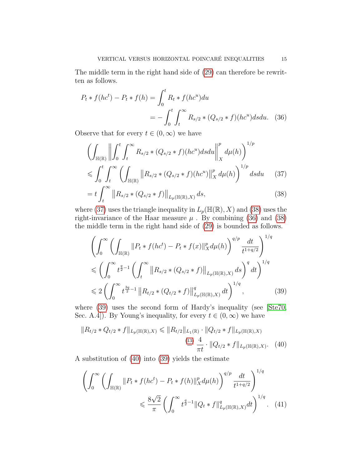The middle term in the right hand side of [\(29\)](#page-12-3) can therefore be rewritten as follows.

$$
P_t * f(hc^t) - P_t * f(h) = \int_0^t R_t * f(hc^u) du
$$
  
= 
$$
- \int_0^t \int_t^\infty R_{s/2} * (Q_{s/2} * f)(hc^u) ds du. \quad (36)
$$

Observe that for every  $t \in (0, \infty)$  we have

<span id="page-14-2"></span><span id="page-14-0"></span>
$$
\left(\int_{\mathbb{H}(\mathbb{R})} \left\| \int_0^t \int_t^\infty R_{s/2} * (Q_{s/2} * f)(hc^u) ds du \right\|_X^p d\mu(h) \right)^{1/p}
$$
  

$$
\leqslant \int_0^t \int_t^\infty \left( \int_{\mathbb{H}(\mathbb{R})} \left\| R_{s/2} * (Q_{s/2} * f)(hc^u) \right\|_X^p d\mu(h) \right)^{1/p} ds du \quad (37)
$$

<span id="page-14-1"></span>
$$
=t\int_{t}^{\infty}||R_{s/2}*(Q_{s/2}*f)||_{L_{p}(\mathbb{H}(\mathbb{R}),X)}ds,
$$
\n(38)

where [\(37\)](#page-14-0) uses the triangle inequality in  $L_p(\mathbb{H}(\mathbb{R}), X)$  and [\(38\)](#page-14-1) uses the right-invariance of the Haar measure  $\mu$ . By combining [\(36\)](#page-14-2) and [\(38\)](#page-14-1) the middle term in the right hand side of [\(29\)](#page-12-3) is bounded as follows.

<span id="page-14-3"></span>
$$
\left(\int_0^\infty \left(\int_{\mathbb{H}(\mathbb{R})} \|P_t * f(hc^t) - P_t * f(x)\|_X^p d\mu(h)\right)^{q/p} \frac{dt}{t^{1+q/2}}\right)^{1/q}
$$
\n
$$
\leqslant \left(\int_0^\infty t^{\frac{q}{2}-1} \left(\int_t^\infty \|R_{s/2} * (Q_{s/2} * f)\|_{L_p(\mathbb{H}(\mathbb{R}),X)} ds\right)^q dt\right)^{1/q}
$$
\n
$$
\leqslant 2 \left(\int_0^\infty t^{\frac{3q}{2}-1} \|R_{t/2} * (Q_{t/2} * f)\|_{L_p(\mathbb{H}(\mathbb{R}),X)}^q dt\right)^{1/q},\tag{39}
$$

where [\(39\)](#page-14-3) uses the second form of Hardy's inequality (see [\[Ste70,](#page-28-6) Sec. A.4]). By Young's inequality, for every  $t \in (0,\infty)$  we have

<span id="page-14-4"></span>
$$
||R_{t/2} * Q_{t/2} * f||_{L_p(\mathbb{H}(\mathbb{R}), X)} \le ||R_{t/2}||_{L_1(\mathbb{R})} \cdot ||Q_{t/2} * f||_{L_p(\mathbb{H}(\mathbb{R}), X)}
$$
  

$$
\stackrel{\text{(13)}}{=} \frac{4}{\pi t} \cdot ||Q_{t/2} * f||_{L_p(\mathbb{H}(\mathbb{R}), X)}.
$$
 (40)

A substitution of [\(40\)](#page-14-4) into [\(39\)](#page-14-3) yields the estimate

<span id="page-14-5"></span>
$$
\left(\int_0^\infty \left(\int_{\mathbb{H}(\mathbb{R})} \|P_t * f(hc^t) - P_t * f(h)\|_{X}^p d\mu(h)\right)^{q/p} \frac{dt}{t^{1+q/2}}\right)^{1/q}
$$
\n
$$
\leq \frac{8\sqrt{2}}{\pi} \left(\int_0^\infty t^{\frac{q}{2}-1} \|Q_t * f\|_{L_p(\mathbb{H}(\mathbb{R}),X)}^q dt\right)^{1/q}.\tag{41}
$$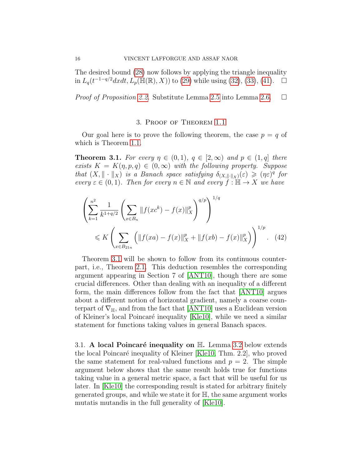The desired bound [\(28\)](#page-12-4) now follows by applying the triangle inequality in  $L_q(t^{-1-q/2}dxdt, L_p(\mathbb{H}(\mathbb{R}), X))$  to [\(29\)](#page-12-3) while using [\(32\)](#page-13-2), [\(33\)](#page-13-4), [\(41\)](#page-14-5). □

*Proof of Proposition [2.2.](#page-8-0)* Substitute Lemma [2.5](#page-11-3) into Lemma [2.6.](#page-12-2)  $\Box$ 

### <span id="page-15-2"></span>3. Proof of Theorem [1.1](#page-1-1)

<span id="page-15-0"></span>Our goal here is to prove the following theorem, the case  $p = q$  of which is Theorem [1.1.](#page-1-1)

<span id="page-15-1"></span>**Theorem 3.1.** For every  $\eta \in (0,1)$ ,  $q \in [2,\infty)$  and  $p \in (1,q]$  there exists  $K = K(\eta, p, q) \in (0, \infty)$  with the following property. Suppose that  $(X, \|\cdot\|_X)$  is a Banach space satisfying  $\delta_{(X, \|\cdot\|_X)}(\varepsilon) \geq (\eta \varepsilon)^q$  for every  $\varepsilon \in (0,1)$ . Then for every  $n \in \mathbb{N}$  and every  $f : \mathbb{H} \to X$  we have

$$
\left(\sum_{k=1}^{n^2} \frac{1}{k^{1+q/2}} \left(\sum_{x \in B_n} \|f(xc^k) - f(x)\|_X^p\right)^{q/p}\right)^{1/q} \le K \left(\sum_{x \in B_{21n}} \left(\|f(xa) - f(x)\|_X^p + \|f(xb) - f(x)\|_X^p\right)\right)^{1/p}.
$$
 (42)

Theorem [3.1](#page-15-1) will be shown to follow from its continuous counterpart, i.e., Theorem [2.1.](#page-7-0) This deduction resembles the corresponding argument appearing in Section 7 of [\[ANT10\]](#page-26-5), though there are some crucial differences. Other than dealing with an inequality of a different form, the main differences follow from the fact that [\[ANT10\]](#page-26-5) argues about a different notion of horizontal gradient, namely a coarse counterpart of  $\nabla_{\mathbb{H}}$ , and from the fact that [\[ANT10\]](#page-26-5) uses a Euclidean version of Kleiner's local Poincaré inequality [\[Kle10\]](#page-27-8), while we need a similar statement for functions taking values in general Banach spaces.

3.1. A local Poincaré inequality on  $H$ . Lemma [3.2](#page-16-0) below extends the local Poincaré inequality of Kleiner [\[Kle10,](#page-27-8) Thm. 2.2], who proved the same statement for real-valued functions and  $p = 2$ . The simple argument below shows that the same result holds true for functions taking value in a general metric space, a fact that will be useful for us later. In [\[Kle10\]](#page-27-8) the corresponding result is stated for arbitrary finitely generated groups, and while we state it for H, the same argument works mutatis mutandis in the full generality of [\[Kle10\]](#page-27-8).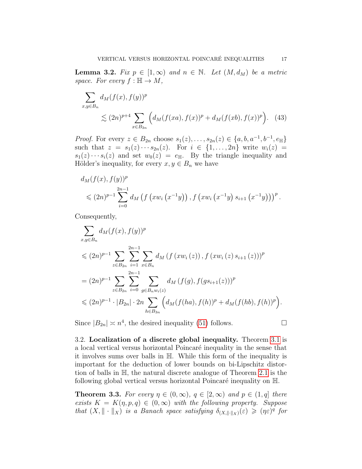<span id="page-16-0"></span>**Lemma 3.2.** Fix  $p \in [1,\infty)$  and  $n \in \mathbb{N}$ . Let  $(M, d_M)$  be a metric space. For every  $f : \mathbb{H} \to M$ ,

$$
\sum_{x,y \in B_n} d_M(f(x), f(y))^p
$$
  
\$\lesssim (2n)^{p+4} \sum\_{x \in B\_{3n}} \left( d\_M(f(xa), f(x))^p + d\_M(f(xb), f(x))^p \right).\$ (43)

*Proof.* For every  $z \in B_{2n}$  choose  $s_1(z), \ldots, s_{2n}(z) \in \{a, b, a^{-1}, b^{-1}, e_{\mathbb{H}}\}$ such that  $z = s_1(z) \cdots s_{2n}(z)$ . For  $i \in \{1, \ldots, 2n\}$  write  $w_i(z) =$  $s_1(z) \cdots s_i(z)$  and set  $w_0(z) = e_{\mathbb{H}}$ . By the triangle inequality and Hölder's inequality, for every  $x, y \in B_n$  we have

$$
d_M(f(x), f(y))^p
$$
  
\$\leq (2n)^{p-1} \sum\_{i=0}^{2n-1} d\_M(f(xw\_i(x^{-1}y)), f(xw\_i(x^{-1}y), s\_{i+1}(x^{-1}y)))^p\$.

Consequently,

$$
\sum_{x,y \in B_n} d_M(f(x), f(y))^p
$$
\n
$$
\leq (2n)^{p-1} \sum_{z \in B_{2n}} \sum_{i=1}^{2n-1} \sum_{x \in B_n} d_M(f(xw_i(z)), f(xw_i(z)s_{i+1}(z)))^p
$$
\n
$$
= (2n)^{p-1} \sum_{z \in B_{2n}} \sum_{i=0}^{2n-1} \sum_{g \in B_n w_i(z)} d_M(f(g), f(gs_{i+1}(z)))^p
$$
\n
$$
\leq (2n)^{p-1} \cdot |B_{2n}| \cdot 2n \sum_{h \in B_{3n}} \left( d_M(f(ha), f(h))^p + d_M(f(hb), f(h))^p \right).
$$

Since  $|B_{2n}| \n\asymp n^4$ , the desired inequality [\(51\)](#page-19-0) follows.

3.2. Localization of a discrete global inequality. Theorem [3.1](#page-15-1) is a local vertical versus horizontal Poincaré inequality in the sense that it involves sums over balls in H. While this form of the inequality is important for the deduction of lower bounds on bi-Lipschitz distortion of balls in H, the natural discrete analogue of Theorem [2.1](#page-7-0) is the following global vertical versus horizontal Poincaré inequality on  $\mathbb{H}$ .

<span id="page-16-1"></span>**Theorem 3.3.** For every  $\eta \in (0,\infty)$ ,  $q \in [2,\infty)$  and  $p \in (1,q]$  there exists  $K = K(\eta, p, q) \in (0, \infty)$  with the following property. Suppose that  $(X, \|\cdot\|_X)$  is a Banach space satisfying  $\delta_{(X, \|\cdot\|_X)}(\varepsilon) \geqslant (\eta \varepsilon)^q$  for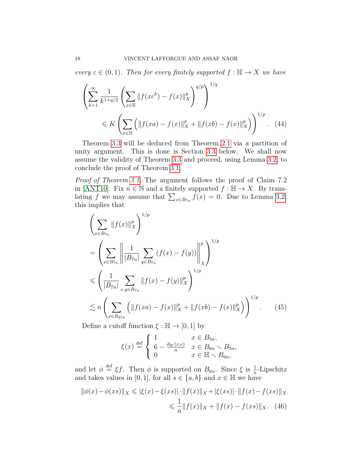every  $\varepsilon \in (0,1)$ . Then for every finitely supported  $f : \mathbb{H} \to X$  we have

<span id="page-17-2"></span>
$$
\left(\sum_{k=1}^{\infty} \frac{1}{k^{1+q/2}} \left(\sum_{x \in \mathbb{H}} \|f(xc^k) - f(x)\|_{X}^p\right)^{q/p}\right)^{1/q} \leq K \left(\sum_{x \in \mathbb{H}} \left(\|f(xa) - f(x)\|_{X}^p + \|f(xb) - f(x)\|_{X}^p\right)\right)^{1/p}.
$$
 (44)

Theorem [3.3](#page-16-1) will be deduced from Theorem [2.1](#page-7-0) via a partition of unity argument. This is done is Section [3.3](#page-18-0) below. We shall now assume the validity of Theorem [3.3](#page-16-1) and proceed, using Lemma [3.2,](#page-16-0) to conclude the proof of Theorem [3.1.](#page-15-1)

Proof of Theorem [3.1.](#page-15-1) The argument follows the proof of Claim 7.2 in [\[ANT10\]](#page-26-5). Fix  $n \in \mathbb{N}$  and a finitely supported  $f : \mathbb{H} \to X$ . By translating f we may assume that  $\sum_{x \in B_{7n}} f(x) = 0$ . Due to Lemma [3.2,](#page-16-0) this implies that

$$
\left(\sum_{x \in B_{7n}} \|f(x)\|_{X}^{p}\right)^{1/p} \n= \left(\sum_{x \in B_{7n}} \left\|\frac{1}{|B_{7n}|}\sum_{y \in B_{7n}} (f(x) - f(y))\right\|_{X}^{p}\right)^{1/p} \n\leq \left(\frac{1}{|B_{7n}|}\sum_{x,y \in B_{7n}} \|f(x) - f(y)\|_{X}^{p}\right)^{1/p} \n\leq n \left(\sum_{x \in B_{21n}} \left(\|f(xa) - f(x)\|_{X}^{p} + \|f(xb) - f(x)\|_{X}^{p}\right)\right)^{1/p}.
$$
\n(45)

Define a cutoff function  $\xi : \mathbb{H} \to [0, 1]$  by

<span id="page-17-1"></span><span id="page-17-0"></span>
$$
\xi(x) \stackrel{\text{def}}{=} \begin{cases} 1 & x \in B_{5n}, \\ 6 - \frac{d_W(x,e)}{n} & x \in B_{6n} \setminus B_{5n}, \\ 0 & x \in \mathbb{H} \setminus B_{6n}, \end{cases}
$$

and let  $\phi \stackrel{\text{def}}{=} \xi f$ . Then  $\phi$  is supported on  $B_{6n}$ . Since  $\xi$  is  $\frac{1}{n}$ -Lipschitz and takes values in [0, 1], for all  $s \in \{a, b\}$  and  $x \in \mathbb{H}$  we have

$$
\|\phi(x) - \phi(xs)\|_X \le |\xi(x) - \xi(xs)| \cdot \|f(x)\|_X + |\xi(xs)| \cdot \|f(x) - f(xs)\|_X
$$
  

$$
\le \frac{1}{n} \|f(x)\|_X + \|f(x) - f(xs)\|_X. \tag{46}
$$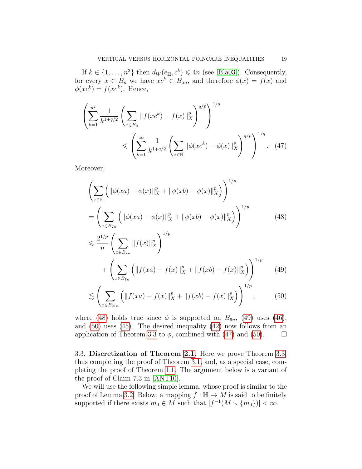If  $k \in \{1, ..., n^2\}$  then  $d_W(e_{\mathbb{H}}, c^k) \leq 4n$  (see [\[Bla03\]](#page-26-0)). Consequently, for every  $x \in B_n$  we have  $xc^k \in B_{5n}$ , and therefore  $\phi(x) = f(x)$  and  $\phi(xc^k) = f(xc^k)$ . Hence,

$$
\left(\sum_{k=1}^{n^2} \frac{1}{k^{1+q/2}} \left(\sum_{x \in B_n} \|f(xc^k) - f(x)\|_X^p\right)^{q/p}\right)^{1/q} \le \left(\sum_{k=1}^{\infty} \frac{1}{k^{1+q/2}} \left(\sum_{x \in \mathbb{H}} \|\phi(xc^k) - \phi(x)\|_X^p\right)^{q/p}\right)^{1/q}.\tag{47}
$$

Moreover,

<span id="page-18-4"></span><span id="page-18-2"></span><span id="page-18-1"></span>
$$
\left(\sum_{x\in\mathbb{H}}\left(\|\phi(xa)-\phi(x)\|_{X}^{p}+\|\phi(xb)-\phi(x)\|_{X}^{p}\right)\right)^{1/p} \n= \left(\sum_{x\in B_{7n}}\left(\|\phi(xa)-\phi(x)\|_{X}^{p}+\|\phi(xb)-\phi(x)\|_{X}^{p}\right)\right)^{1/p} (48) \n\leq \frac{2^{1/p}}{n}\left(\sum_{x\in B_{7n}}\|f(x)\|_{X}^{p}\right)^{1/p} \n+ \left(\sum_{x\in B_{7n}}\left(\|f(xa)-f(x)\|_{X}^{p}+\|f(xb)-f(x)\|_{X}^{p}\right)\right)^{1/p} (49) \n\leq \left(\sum_{x\in B_{21n}}\left(\|f(xa)-f(x)\|_{X}^{p}+\|f(xb)-f(x)\|_{X}^{p}\right)\right)^{1/p},
$$

<span id="page-18-3"></span>where [\(48\)](#page-18-1) holds true since  $\phi$  is supported on  $B_{6n}$ , [\(49\)](#page-18-2) uses [\(46\)](#page-17-0), and [\(50\)](#page-18-3) uses [\(45\)](#page-17-1). The desired inequality [\(42\)](#page-15-2) now follows from an application of Theorem [3.3](#page-16-1) to  $\phi$ , combined with [\(47\)](#page-18-4) and [\(50\)](#page-18-3).

<span id="page-18-0"></span>3.3. Discretization of Theorem [2.1.](#page-7-0) Here we prove Theorem [3.3,](#page-16-1) thus completing the proof of Theorem [3.1,](#page-15-1) and, as a special case, completing the proof of Theorem [1.1.](#page-1-1) The argument below is a variant of the proof of Claim 7.3 in [\[ANT10\]](#page-26-5).

We will use the following simple lemma, whose proof is similar to the proof of Lemma [3.2.](#page-16-0) Below, a mapping  $f : \mathbb{H} \to M$  is said to be finitely supported if there exists  $m_0 \in M$  such that  $|f^{-1}(M \setminus \{m_0\})| < \infty$ .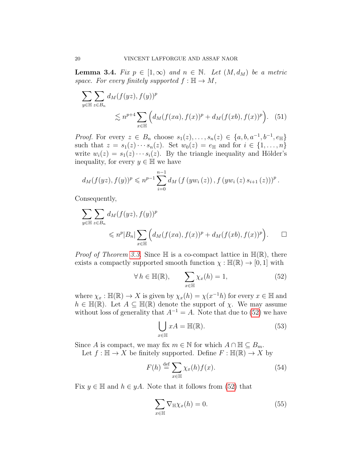<span id="page-19-3"></span>**Lemma 3.4.** Fix  $p \in [1,\infty)$  and  $n \in \mathbb{N}$ . Let  $(M, d_M)$  be a metric space. For every finitely supported  $f : \mathbb{H} \to M$ ,

<span id="page-19-0"></span>
$$
\sum_{y \in \mathbb{H}} \sum_{z \in B_n} d_M(f(yz), f(y))^p
$$
\n
$$
\lesssim n^{p+4} \sum_{x \in \mathbb{H}} \left( d_M(f(xa), f(x))^p + d_M(f(xb), f(x))^p \right). \tag{51}
$$

*Proof.* For every  $z \in B_n$  choose  $s_1(z), \ldots, s_n(z) \in \{a, b, a^{-1}, b^{-1}, e_{\mathbb{H}}\}$ such that  $z = s_1(z) \cdots s_n(z)$ . Set  $w_0(z) = e_{\mathbb{H}}$  and for  $i \in \{1, \ldots, n\}$ write  $w_i(z) = s_1(z) \cdots s_i(z)$ . By the triangle inequality and Hölder's inequality, for every  $y \in \mathbb{H}$  we have

$$
d_M(f(yz), f(y))^p \leq n^{p-1} \sum_{i=0}^{n-1} d_M(f(yw_i(z)), f(yw_i(z)s_{i+1}(z)))^p
$$
.

Consequently,

$$
\sum_{y \in \mathbb{H}} \sum_{z \in B_n} d_M(f(yz), f(y))^p
$$
\n
$$
\leqslant n^p |B_n| \sum_{x \in \mathbb{H}} \left( d_M(f(xa), f(x))^p + d_M(f(xb), f(x))^p \right). \qquad \Box
$$

*Proof of Theorem [3.3.](#page-16-1)* Since  $\mathbb{H}$  is a co-compact lattice in  $\mathbb{H}(\mathbb{R})$ , there exists a compactly supported smooth function  $\chi : \mathbb{H}(\mathbb{R}) \to [0, 1]$  with

<span id="page-19-1"></span>
$$
\forall h \in \mathbb{H}(\mathbb{R}), \qquad \sum_{x \in \mathbb{H}} \chi_x(h) = 1,\tag{52}
$$

where  $\chi_x : \mathbb{H}(\mathbb{R}) \to X$  is given by  $\chi_x(h) = \chi(x^{-1}h)$  for every  $x \in \mathbb{H}$  and  $h \in \mathbb{H}(\mathbb{R})$ . Let  $A \subseteq \mathbb{H}(\mathbb{R})$  denote the support of  $\chi$ . We may assume without loss of generality that  $A^{-1} = A$ . Note that due to [\(52\)](#page-19-1) we have

<span id="page-19-2"></span>
$$
\bigcup_{x \in \mathbb{H}} xA = \mathbb{H}(\mathbb{R}).\tag{53}
$$

Since A is compact, we may fix  $m \in \mathbb{N}$  for which  $A \cap \mathbb{H} \subseteq B_m$ .

Let  $f : \mathbb{H} \to X$  be finitely supported. Define  $F : \mathbb{H}(\mathbb{R}) \to X$  by

<span id="page-19-4"></span>
$$
F(h) \stackrel{\text{def}}{=} \sum_{x \in \mathbb{H}} \chi_x(h) f(x). \tag{54}
$$

Fix  $y \in \mathbb{H}$  and  $h \in yA$ . Note that it follows from [\(52\)](#page-19-1) that

$$
\sum_{x \in \mathbb{H}} \nabla_{\mathbb{H}} \chi_x(h) = 0.
$$
 (55)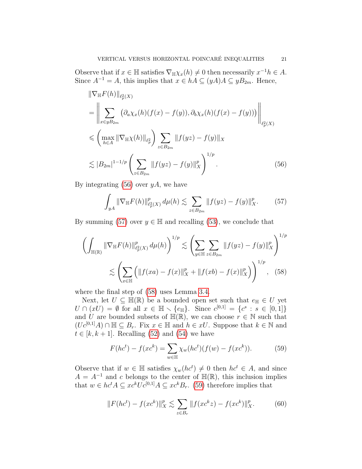Observe that if  $x \in \mathbb{H}$  satisfies  $\nabla_{\mathbb{H}} \chi_x(h) \neq 0$  then necessarily  $x^{-1}h \in A$ . Since  $A^{-1} = A$ , this implies that  $x \in hA \subseteq (yA)A \subseteq yB_{2m}$ . Hence,

$$
\|\nabla_{\mathbb{H}} F(h)\|_{\ell_p^2(X)}\n= \left\|\sum_{x \in yB_{2m}} \left(\partial_a \chi_x(h)(f(x) - f(y)), \partial_b \chi_x(h)(f(x) - f(y))\right)\right\|_{\ell_p^2(X)}\n\leq \left(\max_{h \in A} \|\nabla_{\mathbb{H}} \chi(h)\|_{\ell_p^2}\right) \sum_{z \in B_{2m}} \|f(yz) - f(y)\|_X\n\leq |B_{2m}|^{1-1/p} \left(\sum_{z \in B_{2m}} \|f(yz) - f(y)\|_X^p\right)^{1/p}.
$$
\n(56)

By integrating  $(56)$  over yA, we have

<span id="page-20-1"></span><span id="page-20-0"></span>
$$
\int_{yA} \|\nabla_{\mathbb{H}} F(h)\|_{\ell_p^2(X)}^p \, d\mu(h) \lesssim \sum_{z \in B_{2m}} \|f(yz) - f(y)\|_X^p. \tag{57}
$$

By summing [\(57\)](#page-20-1) over  $y \in \mathbb{H}$  and recalling [\(53\)](#page-19-2), we conclude that

$$
\left(\int_{\mathbb{H}(\mathbb{R})} \|\nabla_{\mathbb{H}} F(h)\|_{\ell_p^2(X)}^p \, d\mu(h)\right)^{1/p} \lesssim \left(\sum_{y \in \mathbb{H}} \sum_{z \in B_{2m}} \|f(yz) - f(y)\|_X^p\right)^{1/p}
$$
\n
$$
\lesssim \left(\sum_{x \in \mathbb{H}} \left(\|f(xa) - f(x)\|_X^p + \|f(xb) - f(x)\|_X^p\right)\right)^{1/p}, \tag{58}
$$

where the final step of [\(58\)](#page-20-2) uses Lemma [3.4.](#page-19-3)

Next, let  $U \subseteq \mathbb{H}(\mathbb{R})$  be a bounded open set such that  $e_{\mathbb{H}} \in U$  yet  $U \cap (xU) = \emptyset$  for all  $x \in \mathbb{H} \setminus \{e_{\mathbb{H}}\}.$  Since  $c^{[0,1]} = \{c^s : s \in [0,1]\}$ and U are bounded subsets of  $\mathbb{H}(\mathbb{R})$ , we can choose  $r \in \mathbb{N}$  such that  $(Uc^{[0,1]}A) \cap \mathbb{H} \subseteq B_r$ . Fix  $x \in \mathbb{H}$  and  $h \in xU$ . Suppose that  $k \in \mathbb{N}$  and  $t \in [k, k+1]$ . Recalling [\(52\)](#page-19-1) and [\(54\)](#page-19-4) we have

<span id="page-20-3"></span><span id="page-20-2"></span>
$$
F(hc^t) - f(xc^k) = \sum_{w \in \mathbb{H}} \chi_w(hc^t) (f(w) - f(xc^k)).
$$
 (59)

Observe that if  $w \in \mathbb{H}$  satisfies  $\chi_w(hc^t) \neq 0$  then  $hc^t \in A$ , and since  $A = A^{-1}$  and c belongs to the center of  $\mathbb{H}(\mathbb{R})$ , this inclusion implies that  $w \in hc^t A \subseteq xc^kUc^{[0,1]}A \subseteq xc^kB_r.$  [\(59\)](#page-20-3) therefore implies that

<span id="page-20-4"></span>
$$
||F(hc^t) - f(xc^k)||_X^p \lesssim \sum_{z \in B_r} ||f(xc^k z) - f(xc^k)||_X^p. \tag{60}
$$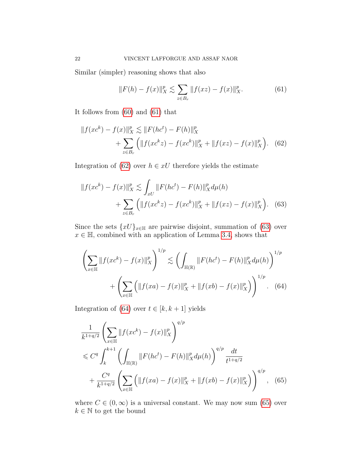Similar (simpler) reasoning shows that also

<span id="page-21-2"></span><span id="page-21-1"></span><span id="page-21-0"></span>
$$
||F(h) - f(x)||_{X}^{p} \lesssim \sum_{z \in B_{r}} ||f(xz) - f(x)||_{X}^{p}.
$$
 (61)

It follows from [\(60\)](#page-20-4) and [\(61\)](#page-21-0) that

$$
||f(xc^k) - f(x)||_X^p \lesssim ||F(hc^t) - F(h)||_X^p
$$
  
+ 
$$
\sum_{z \in B_r} (||f(xc^kz) - f(xc^k)||_X^p + ||f(xz) - f(x)||_X^p).
$$
 (62)

Integration of [\(62\)](#page-21-1) over  $h \in xU$  therefore yields the estimate

$$
||f(xc^k) - f(x)||_X^p \lesssim \int_{xU} ||F(hc^t) - F(h)||_X^p d\mu(h)
$$
  
+ 
$$
\sum_{z \in B_r} \left( ||f(xc^k z) - f(xc^k)||_X^p + ||f(xz) - f(x)||_X^p \right). \tag{63}
$$

Since the sets  $\{xU\}_{x\in\mathbb{H}}$  are pairwise disjoint, summation of [\(63\)](#page-21-2) over  $x \in \mathbb{H}$ , combined with an application of Lemma [3.4,](#page-19-3) shows that

<span id="page-21-3"></span>
$$
\left(\sum_{x\in\mathbb{H}}\|f(xc^k) - f(x)\|_{X}^p\right)^{1/p} \lesssim \left(\int_{\mathbb{H}(\mathbb{R})} \|F(hc^t) - F(h)\|_{X}^p d\mu(h)\right)^{1/p} + \left(\sum_{x\in\mathbb{H}} \left(\|f(xa) - f(x)\|_{X}^p + \|f(xb) - f(x)\|_{X}^p\right)\right)^{1/p}.
$$
 (64)

Integration of [\(64\)](#page-21-3) over  $t \in [k, k+1]$  yields

<span id="page-21-4"></span>
$$
\frac{1}{k^{1+q/2}} \left( \sum_{x \in \mathbb{H}} \| f(xc^k) - f(x) \|_{X}^p \right)^{q/p} \n\leq C^q \int_{k}^{k+1} \left( \int_{\mathbb{H}(\mathbb{R})} \| F(hc^t) - F(h) \|_{X}^p d\mu(h) \right)^{q/p} \frac{dt}{t^{1+q/2}} \n+ \frac{C^q}{k^{1+q/2}} \left( \sum_{x \in \mathbb{H}} \left( \| f(xa) - f(x) \|_{X}^p + \| f(xb) - f(x) \|_{X}^p \right) \right)^{q/p}, \quad (65)
$$

where  $C \in (0, \infty)$  is a universal constant. We may now sum [\(65\)](#page-21-4) over  $k \in \mathbb{N}$  to get the bound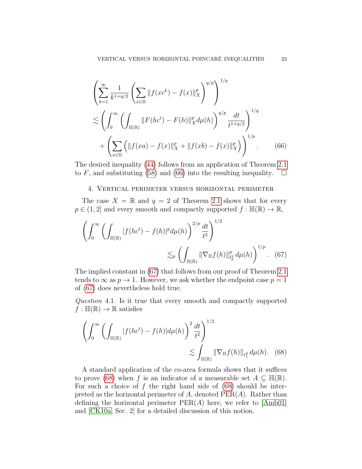$$
\left(\sum_{k=1}^{\infty} \frac{1}{k^{1+q/2}} \left(\sum_{x \in \mathbb{H}} \|f(xc^k) - f(x)\|_{X}^p\right)^{q/p}\right)^{1/q} \n\lesssim \left(\int_0^{\infty} \left(\int_{\mathbb{H}(\mathbb{R})} \|F(hc^t) - F(h)\|_{X}^p d\mu(h)\right)^{q/p} \frac{dt}{t^{1+q/2}}\right)^{1/q} \n+ \left(\sum_{x \in \mathbb{H}} \left(\|f(xa) - f(x)\|_{X}^p + \|f(xb) - f(x)\|_{X}^p\right)\right)^{1/p}.
$$
\n(66)

The desired inequality [\(44\)](#page-17-2) follows from an application of Theorem [2.1](#page-7-0) to F, and substituting [\(58\)](#page-20-2) and [\(66\)](#page-22-1) into the resulting inequality.  $\Box$ 

### <span id="page-22-0"></span>4. Vertical perimeter versus horizontal perimeter

The case  $X = \mathbb{R}$  and  $q = 2$  of Theorem [2.1](#page-7-0) shows that for every  $p \in (1, 2]$  and every smooth and compactly supported  $f : \mathbb{H}(\mathbb{R}) \to \mathbb{R}$ ,

$$
\left(\int_0^\infty \left(\int_{\mathbb{H}(\mathbb{R})} |f(hc^t) - f(h)|^p d\mu(h)\right)^{2/p} \frac{dt}{t^2}\right)^{1/2} \lesssim_p \left(\int_{\mathbb{H}(\mathbb{R})} \|\nabla_{\mathbb{H}} f(h)\|_{\ell_p^2}^p d\mu(h)\right)^{1/p}.\tag{67}
$$

The implied constant in [\(67\)](#page-22-2) that follows from our proof of Theorem [2.1](#page-7-0) tends to  $\infty$  as  $p \to 1$ . However, we ask whether the endpoint case  $p = 1$ of [\(67\)](#page-22-2) does nevertheless hold true.

<span id="page-22-4"></span>Question 4.1. Is it true that every smooth and compactly supported  $f : \mathbb{H}(\mathbb{R}) \to \mathbb{R}$  satisfies

<span id="page-22-3"></span>
$$
\left(\int_0^\infty \left(\int_{\mathbb{H}(\mathbb{R})} |f(hc^t) - f(h)|d\mu(h)\right)^2 \frac{dt}{t^2}\right)^{1/2} \lesssim \int_{\mathbb{H}(\mathbb{R})} \|\nabla_{\mathbb{H}}f(h)\|_{\ell_1^2} d\mu(h). \tag{68}
$$

A standard application of the co-area formula shows that it suffices to prove [\(68\)](#page-22-3) when f is an indicator of a measurable set  $A \subseteq \mathbb{H}(\mathbb{R})$ . For such a choice of  $f$  the right hand side of  $(68)$  should be interpreted as the horizontal perimeter of A, denoted  $PER(A)$ . Rather than defining the horizontal perimeter  $PER(A)$  here, we refer to [\[Amb01\]](#page-26-7) and [\[CK10a,](#page-26-4) Sec. 2] for a detailed discussion of this notion.

<span id="page-22-2"></span><span id="page-22-1"></span>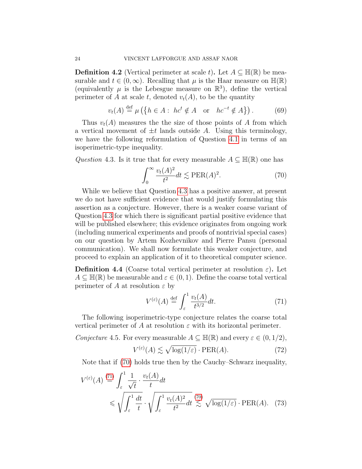**Definition 4.2** (Vertical perimeter at scale t). Let  $A \subseteq \mathbb{H}(\mathbb{R})$  be measurable and  $t \in (0,\infty)$ . Recalling that  $\mu$  is the Haar measure on  $\mathbb{H}(\mathbb{R})$ (equivalently  $\mu$  is the Lebesgue measure on  $\mathbb{R}^3$ ), define the vertical perimeter of A at scale t, denoted  $v_t(A)$ , to be the quantity

$$
v_t(A) \stackrel{\text{def}}{=} \mu\left(\left\{h \in A : h c^t \notin A \quad \text{or} \quad h c^{-t} \notin A\right\}\right). \tag{69}
$$

Thus  $v_t(A)$  measures the the size of those points of A from which a vertical movement of  $\pm t$  lands outside A. Using this terminology, we have the following reformulation of Question [4.1](#page-22-4) in terms of an isoperimetric-type inequality.

<span id="page-23-0"></span>Question 4.3. Is it true that for every measurable  $A \subseteq \mathbb{H}(\mathbb{R})$  one has

<span id="page-23-1"></span>
$$
\int_0^\infty \frac{v_t(A)^2}{t^2} dt \lesssim \text{PER}(A)^2. \tag{70}
$$

While we believe that Question [4.3](#page-23-0) has a positive answer, at present we do not have sufficient evidence that would justify formulating this assertion as a conjecture. However, there is a weaker coarse variant of Question [4.3](#page-23-0) for which there is significant partial positive evidence that will be published elsewhere; this evidence originates from ongoing work (including numerical experiments and proofs of nontrivial special cases) on our question by Artem Kozhevnikov and Pierre Pansu (personal communication). We shall now formulate this weaker conjecture, and proceed to explain an application of it to theoretical computer science.

Definition 4.4 (Coarse total vertical perimeter at resolution  $\varepsilon$ ). Let  $A \subseteq \mathbb{H}(\mathbb{R})$  be measurable and  $\varepsilon \in (0,1)$ . Define the coarse total vertical perimeter of A at resolution  $\varepsilon$  by

<span id="page-23-2"></span>
$$
V^{(\varepsilon)}(A) \stackrel{\text{def}}{=} \int_{\varepsilon}^{1} \frac{v_t(A)}{t^{3/2}} dt. \tag{71}
$$

The following isoperimetric-type conjecture relates the coarse total vertical perimeter of A at resolution  $\varepsilon$  with its horizontal perimeter.

<span id="page-23-3"></span>Conjecture 4.5. For every measurable  $A \subseteq \mathbb{H}(\mathbb{R})$  and every  $\varepsilon \in (0, 1/2)$ ,

<span id="page-23-5"></span><span id="page-23-4"></span>
$$
V^{(\varepsilon)}(A) \lesssim \sqrt{\log(1/\varepsilon)} \cdot \text{PER}(A). \tag{72}
$$

Note that if [\(70\)](#page-23-1) holds true then by the Cauchy–Schwarz inequality,

$$
V^{(\varepsilon)}(A) \stackrel{(71)}{=} \int_{\varepsilon}^{1} \frac{1}{\sqrt{t}} \cdot \frac{v_t(A)}{t} dt
$$
  
\$\leq \sqrt{\int\_{\varepsilon}^{1} \frac{dt}{t}} \cdot \sqrt{\int\_{\varepsilon}^{1} \frac{v\_t(A)^2}{t^2} dt} \stackrel{(70)}{\lesssim} \sqrt{\log(1/\varepsilon)} \cdot \text{PER}(A). (73)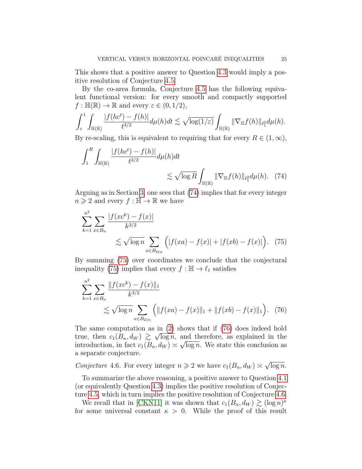This shows that a positive answer to Question [4.3](#page-23-0) would imply a positive resolution of Conjecture [4.5.](#page-23-3)

By the co-area formula, Conjecture [4.5](#page-23-3) has the following equivalent functional version: for every smooth and compactly supported  $f : \mathbb{H}(\mathbb{R}) \to \mathbb{R}$  and every  $\varepsilon \in (0, 1/2)$ ,

$$
\int_{\varepsilon}^{1} \int_{\mathbb{H}(\mathbb{R})} \frac{|f(hc^{t}) - f(h)|}{t^{3/2}} d\mu(h) dt \lesssim \sqrt{\log(1/\varepsilon)} \int_{\mathbb{H}(\mathbb{R})} \|\nabla_{\mathbb{H}}f(h)\|_{\ell_{1}^{2}} d\mu(h).
$$

By re-scaling, this is equivalent to requiring that for every  $R \in (1,\infty)$ ,

<span id="page-24-0"></span>
$$
\int_{1}^{R} \int_{\mathbb{H}(\mathbb{R})} \frac{|f(hc^{t}) - f(h)|}{t^{3/2}} d\mu(h) dt
$$
  
\$\lesssim \sqrt{\log R} \int\_{\mathbb{H}(\mathbb{R})} \|\nabla\_{\mathbb{H}} f(h)\|\_{\ell\_{1}^{2}} d\mu(h).\$ (74)

Arguing as in Section [3,](#page-15-0) one sees that [\(74\)](#page-24-0) implies that for every integer  $n \geq 2$  and every  $f : \mathbb{H} \to \mathbb{R}$  we have

<span id="page-24-1"></span>
$$
\sum_{k=1}^{n^2} \sum_{x \in B_n} \frac{|f(xc^k) - f(x)|}{k^{3/2}} \leq \sqrt{\log n} \sum_{x \in B_{21n}} \left( |f(xa) - f(x)| + |f(xb) - f(x)| \right). \tag{75}
$$

By summing [\(75\)](#page-24-1) over coordinates we conclude that the conjectural inequality [\(75\)](#page-24-1) implies that every  $f : \mathbb{H} \to \ell_1$  satisfies

<span id="page-24-2"></span>
$$
\sum_{k=1}^{n^2} \sum_{x \in B_n} \frac{\|f(xc^k) - f(x)\|_1}{k^{3/2}} \leq \sqrt{\log n} \sum_{x \in B_{21n}} \left( \|f(xa) - f(x)\|_1 + \|f(xb) - f(x)\|_1 \right). \tag{76}
$$

The same computation as in  $(2)$  shows that if [\(76\)](#page-24-2) does indeed hold true, then  $c_1(B_n, d_W) \geq \sqrt{\log n}$ , and therefore, as explained in the introduction, in fact  $c_1(B_n, d_W) \asymp \sqrt{\log n}$ . We state this conclusion as a separate conjecture.

<span id="page-24-3"></span>Conjecture 4.6. For every integer  $n \geq 2$  we have  $c_1(B_n, d_W) \asymp \sqrt{2}$  $\overline{\log n}$ .

To summarize the above reasoning, a positive answer to Question [4.1](#page-22-4) (or equivalently Question [4.3\)](#page-23-0) implies the positive resolution of Conjecture [4.5,](#page-23-3) which in turn implies the positive resolution of Conjecture [4.6.](#page-24-3)

We recall that in [\[CKN11\]](#page-27-3) it was shown that  $c_1(B_n, d_W) \gtrsim (\log n)^{\kappa}$ for some universal constant  $\kappa > 0$ . While the proof of this result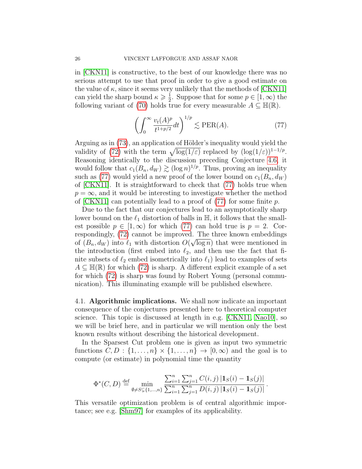in [\[CKN11\]](#page-27-3) is constructive, to the best of our knowledge there was no serious attempt to use that proof in order to give a good estimate on the value of  $\kappa$ , since it seems very unlikely that the methods of  $|CKN11|$ can yield the sharp bound  $\kappa \geqslant \frac{1}{2}$  $\frac{1}{2}$ . Suppose that for some  $p \in [1, \infty)$  the following variant of [\(70\)](#page-23-1) holds true for every measurable  $A \subseteq \mathbb{H}(\mathbb{R})$ .

<span id="page-25-0"></span>
$$
\left(\int_0^\infty \frac{v_t(A)^p}{t^{1+p/2}} dt\right)^{1/p} \lesssim \text{PER}(A). \tag{77}
$$

Arguing as in [\(73\)](#page-23-4), an application of Hölder's inequality would yield the validity of [\(72\)](#page-23-5) with the term  $\sqrt{\log(1/\varepsilon)}$  replaced by  $(\log(1/\varepsilon))^{1-1/p}$ . Reasoning identically to the discussion preceding Conjecture [4.6,](#page-24-3) it would follow that  $c_1(B_n, d_W) \gtrsim (\log n)^{1/p}$ . Thus, proving an inequality such as [\(77\)](#page-25-0) would yield a new proof of the lower bound on  $c_1(B_n, d_W)$ of [\[CKN11\]](#page-27-3). It is straightforward to check that [\(77\)](#page-25-0) holds true when  $p = \infty$ , and it would be interesting to investigate whether the method of  $[CKN11]$  can potentially lead to a proof of  $(77)$  for some finite p.

Due to the fact that our conjectures lead to an asymptotically sharp lower bound on the  $\ell_1$  distortion of balls in  $\mathbb{H}$ , it follows that the smallest possible  $p \in [1,\infty)$  for which [\(77\)](#page-25-0) can hold true is  $p = 2$ . Correspondingly,  $(72)$  cannot be improved. The three known embeddings of  $(B_n, d_W)$  into  $\ell_1$  with distortion  $O(\sqrt{\log n})$  that were mentioned in the introduction (first embed into  $\ell_2$ , and then use the fact that finite subsets of  $\ell_2$  embed isometrically into  $\ell_1$ ) lead to examples of sets  $A \subseteq \mathbb{H}(\mathbb{R})$  for which [\(72\)](#page-23-5) is sharp. A different explicit example of a set for which [\(72\)](#page-23-5) is sharp was found by Robert Young (personal communication). This illuminating example will be published elsewhere.

4.1. Algorithmic implications. We shall now indicate an important consequence of the conjectures presented here to theoretical computer science. This topic is discussed at length in e.g. [\[CKN11,](#page-27-3) [Nao10\]](#page-27-12), so we will be brief here, and in particular we will mention only the best known results without describing the historical development.

In the Sparsest Cut problem one is given as input two symmetric functions  $C, D : \{1, \ldots, n\} \times \{1, \ldots, n\} \rightarrow [0, \infty)$  and the goal is to compute (or estimate) in polynomial time the quantity

$$
\Phi^*(C, D) \stackrel{\text{def}}{=} \min_{\emptyset \neq S \subsetneq \{1, \dots, n\}} \frac{\sum_{i=1}^n \sum_{j=1}^n C(i,j) \left| \mathbf{1}_S(i) - \mathbf{1}_S(j) \right|}{\sum_{i=1}^n \sum_{j=1}^n D(i,j) \left| \mathbf{1}_S(i) - \mathbf{1}_S(j) \right|}.
$$

This versatile optimization problem is of central algorithmic importance; see e.g. [\[Shm97\]](#page-28-7) for examples of its applicability.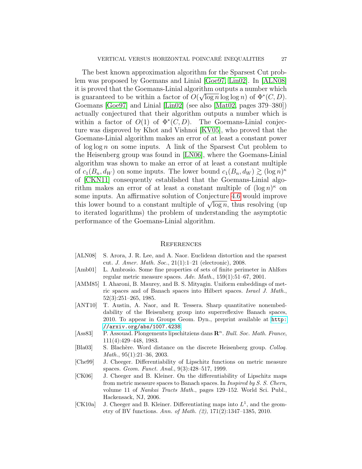The best known approximation algorithm for the Sparsest Cut problem was proposed by Goemans and Linial [\[Goe97,](#page-27-13) [Lin02\]](#page-27-14). In [\[ALN08\]](#page-26-8) it is proved that the Goemans-Linial algorithm outputs a number which is guaranteed to be within a factor of  $O(\sqrt{\log n} \log \log n)$  of  $\Phi^*(C,D)$ . Goemans [\[Goe97\]](#page-27-13) and Linial [\[Lin02\]](#page-27-14) (see also [\[Mat02,](#page-27-15) pages 379–380]) actually conjectured that their algorithm outputs a number which is within a factor of  $O(1)$  of  $\Phi^*(C,D)$ . The Goemans-Linial conjecture was disproved by Khot and Vishnoi [\[KV05\]](#page-27-16), who proved that the Goemans-Linial algorithm makes an error of at least a constant power of  $\log \log n$  on some inputs. A link of the Sparsest Cut problem to the Heisenberg group was found in [\[LN06\]](#page-27-1), where the Goemans-Linial algorithm was shown to make an error of at least a constant multiple of  $c_1(B_n, d_W)$  on some inputs. The lower bound  $c_1(B_n, d_W) \gtrsim (\log n)^{\kappa}$ of [\[CKN11\]](#page-27-3) consequently established that the Goemans-Linial algorithm makes an error of at least a constant multiple of  $(\log n)^{\kappa}$  on some inputs. An affirmative solution of Conjecture [4.6](#page-24-3) would improve some inputs. An amrimative solution of Conjecture 4.6 would improve<br>this lower bound to a constant multiple of  $\sqrt{\log n}$ , thus resolving (up to iterated logarithms) the problem of understanding the asymptotic performance of the Goemans-Linial algorithm.

### **REFERENCES**

- <span id="page-26-8"></span>[ALN08] S. Arora, J. R. Lee, and A. Naor. Euclidean distortion and the sparsest cut. J. Amer. Math. Soc., 21(1):1–21 (electronic), 2008.
- <span id="page-26-7"></span>[Amb01] L. Ambrosio. Some fine properties of sets of finite perimeter in Ahlfors regular metric measure spaces. Adv. Math., 159(1):51–67, 2001.
- <span id="page-26-6"></span>[AMM85] I. Aharoni, B. Maurey, and B. S. Mityagin. Uniform embeddings of metric spaces and of Banach spaces into Hilbert spaces. Israel J. Math., 52(3):251–265, 1985.
- <span id="page-26-5"></span>[ANT10] T. Austin, A. Naor, and R. Tessera. Sharp quantitative nonembeddability of the Heisenberg group into superreflexive Banach spaces, 2010. To appear in Groups Geom. Dyn., preprint available at [http:](http://arxiv.org/abs/1007.4238) [//arxiv.org/abs/1007.4238](http://arxiv.org/abs/1007.4238).
- <span id="page-26-1"></span>[Ass83] P. Assouad. Plongements lipschitziens dans  $\mathbb{R}^n$ . Bull. Soc. Math. France, 111(4):429–448, 1983.
- <span id="page-26-0"></span>[Bla03] S. Blachère. Word distance on the discrete Heisenberg group. Colloq. Math., 95(1):21–36, 2003.
- <span id="page-26-2"></span>[Che99] J. Cheeger. Differentiability of Lipschitz functions on metric measure spaces. Geom. Funct. Anal., 9(3):428–517, 1999.
- <span id="page-26-3"></span>[CK06] J. Cheeger and B. Kleiner. On the differentiability of Lipschitz maps from metric measure spaces to Banach spaces. In Inspired by S. S. Chern, volume 11 of Nankai Tracts Math., pages 129–152. World Sci. Publ., Hackensack, NJ, 2006.
- <span id="page-26-4"></span>[CK10a] J. Cheeger and B. Kleiner. Differentiating maps into  $L^1$ , and the geometry of BV functions. Ann. of Math. (2), 171(2):1347–1385, 2010.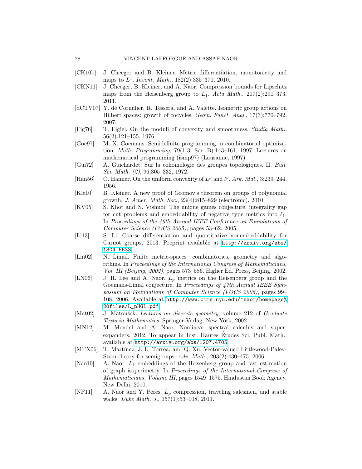- <span id="page-27-2"></span>[CK10b] J. Cheeger and B. Kleiner. Metric differentiation, monotonicity and maps to  $L^1$ . Invent. Math., 182(2):335-370, 2010.
- <span id="page-27-3"></span>[CKN11] J. Cheeger, B. Kleiner, and A. Naor. Compression bounds for Lipschitz maps from the Heisenberg group to  $L_1$ . Acta Math., 207(2):291-373, 2011.
- <span id="page-27-5"></span>[dCTV07] Y. de Cornulier, R. Tessera, and A. Valette. Isometric group actions on Hilbert spaces: growth of cocycles. Geom. Funct. Anal., 17(3):770–792, 2007.
- <span id="page-27-10"></span>[Fig76] T. Figiel. On the moduli of convexity and smoothness. Studia Math., 56(2):121–155, 1976.
- <span id="page-27-13"></span>[Goe97] M. X. Goemans. Semidefinite programming in combinatorial optimization. Math. Programming, 79(1-3, Ser. B):143–161, 1997. Lectures on mathematical programming (ismp97) (Lausanne, 1997).
- <span id="page-27-7"></span>[Gui72] A. Guichardet. Sur la cohomologie des groupes topologiques. II. Bull. Sci. Math. (2), 96:305–332, 1972.
- <span id="page-27-0"></span>[Han56] O. Hanner. On the uniform convexity of  $L^p$  and  $l^p$ . Ark. Mat., 3:239-244, 1956.
- <span id="page-27-8"></span>[Kle10] B. Kleiner. A new proof of Gromov's theorem on groups of polynomial growth. J. Amer. Math. Soc., 23(4):815–829 (electronic), 2010.
- <span id="page-27-16"></span>[KV05] S. Khot and N. Vishnoi. The unique games conjecture, integrality gap for cut problems and embeddability of negative type metrics into  $\ell_1$ . In Proceedings of the 46th Annual IEEE Conference on Foundations of Computer Science (FOCS 2005), pages 53–62. 2005.
- <span id="page-27-4"></span>[Li13] S. Li. Coarse differentiation and quantitative nonembeddability for Carnot groups, 2013. Preprint available at [http://arxiv.org/abs/](http://arxiv.org/abs/1304.6633) [1304.6633](http://arxiv.org/abs/1304.6633).
- <span id="page-27-14"></span>[Lin02] N. Linial. Finite metric-spaces—combinatorics, geometry and algorithms. In Proceedings of the International Congress of Mathematicians, Vol. III (Beijing, 2002), pages 573–586. Higher Ed. Press, Beijing, 2002.
- <span id="page-27-1"></span>[LN06] J. R. Lee and A. Naor.  $L_p$  metrics on the Heisenberg group and the Goemans-Linial conjecture. In Proceedings of 47th Annual IEEE Symposium on Foundations of Computer Science (FOCS 2006), pages 99– 108. 2006. Available at [http://www.cims.nyu.edu/~naor/homepage%](http://www.cims.nyu.edu/~naor/homepage%20files/L_pHGL.pdf) [20files/L\\_pHGL.pdf](http://www.cims.nyu.edu/~naor/homepage%20files/L_pHGL.pdf).
- <span id="page-27-15"></span>[Mat02] J. Matoušek. Lectures on discrete geometry, volume 212 of Graduate Texts in Mathematics. Springer-Verlag, New York, 2002.
- <span id="page-27-11"></span>[MN12] M. Mendel and A. Naor. Nonlinear spectral calculus and superexpanders, 2012. To appear in Inst. Hautes Etudes Sci. Publ. Math., ´ available at <http://arxiv.org/abs/1207.4705>.
- <span id="page-27-9"></span>[MTX06] T. Martínez, J. L. Torrea, and Q. Xu. Vector-valued Littlewood-Paley-Stein theory for semigroups. Adv. Math., 203(2):430–475, 2006.
- <span id="page-27-12"></span>[Nao10] A. Naor.  $L_1$  embeddings of the Heisenberg group and fast estimation of graph isoperimetry. In Proceedings of the International Congress of Mathematicians. Volume III, pages 1549–1575. Hindustan Book Agency, New Delhi, 2010.
- <span id="page-27-6"></span>[NP11] A. Naor and Y. Peres.  $L_p$  compression, traveling salesmen, and stable walks. Duke Math. J., 157(1):53–108, 2011.